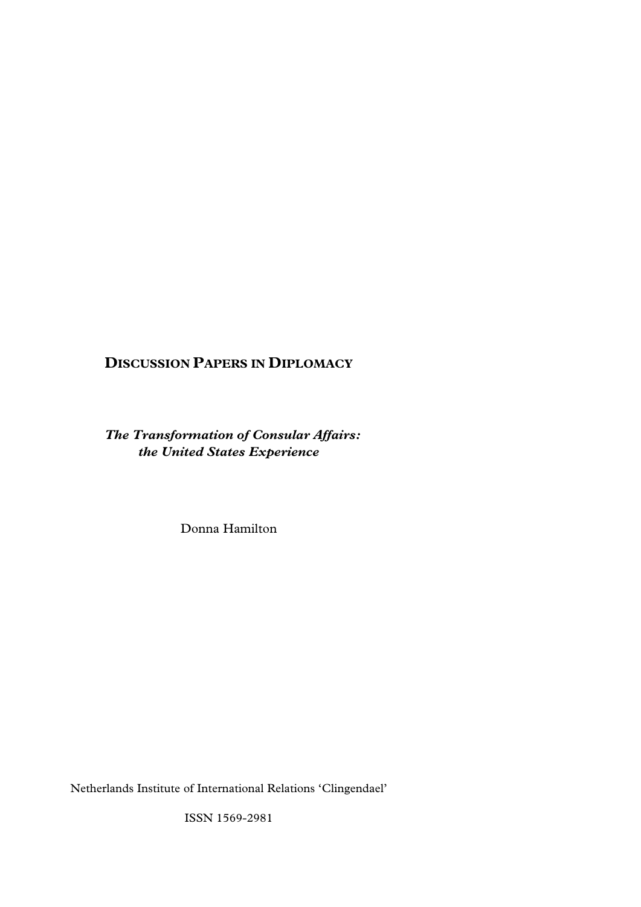# **DISCUSSION PAPERS IN DIPLOMACY**

*The Transformation of Consular Affairs: the United States Experience* 

Donna Hamilton

Netherlands Institute of International Relations 'Clingendael'

ISSN 1569-2981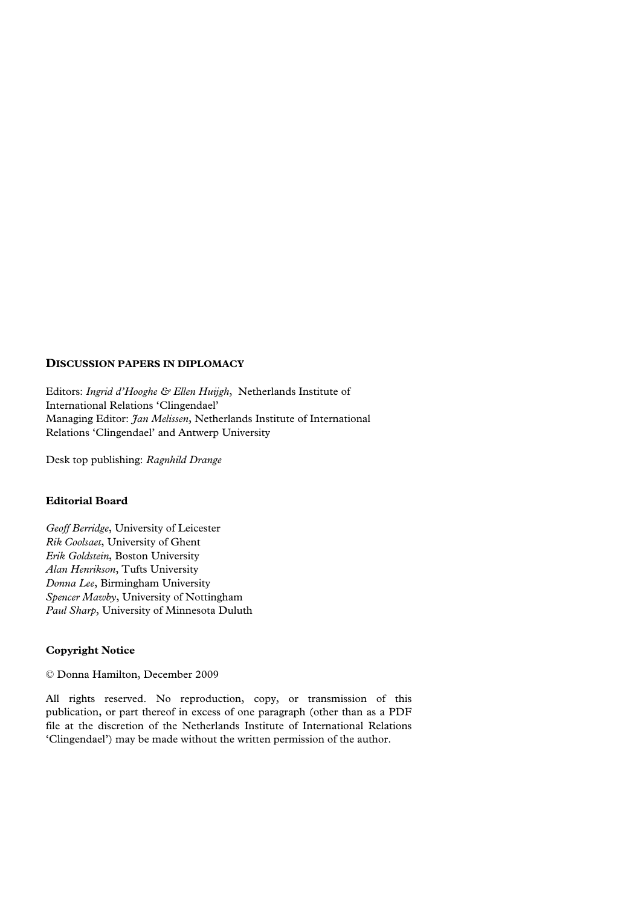## **DISCUSSION PAPERS IN DIPLOMACY**

Editors: *Ingrid d'Hooghe & Ellen Huijgh*, Netherlands Institute of International Relations 'Clingendael' Managing Editor: *Jan Melissen*, Netherlands Institute of International Relations 'Clingendael' and Antwerp University

Desk top publishing: *Ragnhild Drange* 

## **Editorial Board**

*Geoff Berridge*, University of Leicester *Rik Coolsaet*, University of Ghent *Erik Goldstein*, Boston University *Alan Henrikson*, Tufts University *Donna Lee*, Birmingham University *Spencer Mawby*, University of Nottingham *Paul Sharp*, University of Minnesota Duluth

## **Copyright Notice**

© Donna Hamilton, December 2009

All rights reserved. No reproduction, copy, or transmission of this publication, or part thereof in excess of one paragraph (other than as a PDF file at the discretion of the Netherlands Institute of International Relations 'Clingendael') may be made without the written permission of the author.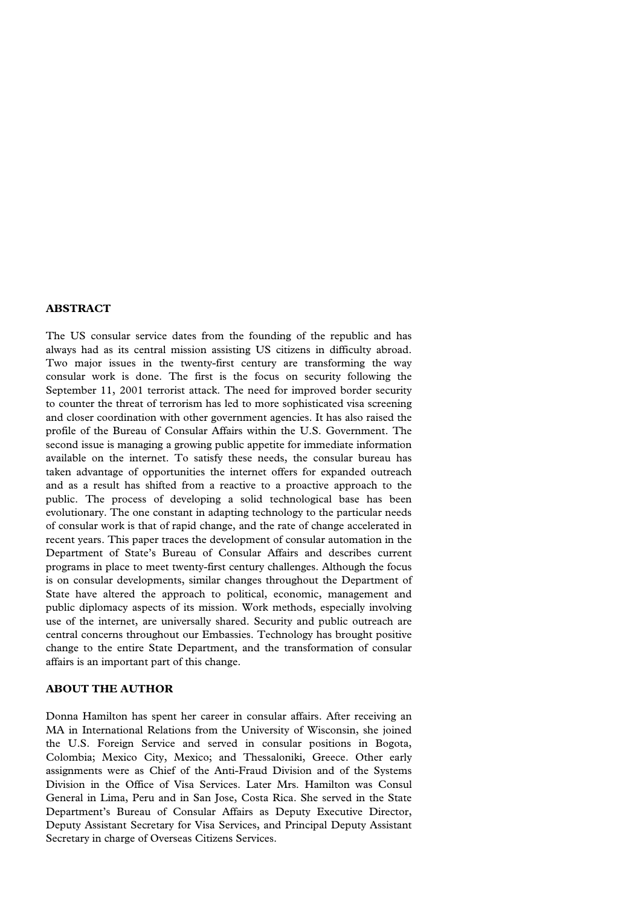#### **ABSTRACT**

The US consular service dates from the founding of the republic and has always had as its central mission assisting US citizens in difficulty abroad. Two major issues in the twenty-first century are transforming the way consular work is done. The first is the focus on security following the September 11, 2001 terrorist attack. The need for improved border security to counter the threat of terrorism has led to more sophisticated visa screening and closer coordination with other government agencies. It has also raised the profile of the Bureau of Consular Affairs within the U.S. Government. The second issue is managing a growing public appetite for immediate information available on the internet. To satisfy these needs, the consular bureau has taken advantage of opportunities the internet offers for expanded outreach and as a result has shifted from a reactive to a proactive approach to the public. The process of developing a solid technological base has been evolutionary. The one constant in adapting technology to the particular needs of consular work is that of rapid change, and the rate of change accelerated in recent years. This paper traces the development of consular automation in the Department of State's Bureau of Consular Affairs and describes current programs in place to meet twenty-first century challenges. Although the focus is on consular developments, similar changes throughout the Department of State have altered the approach to political, economic, management and public diplomacy aspects of its mission. Work methods, especially involving use of the internet, are universally shared. Security and public outreach are central concerns throughout our Embassies. Technology has brought positive change to the entire State Department, and the transformation of consular affairs is an important part of this change.

#### **ABOUT THE AUTHOR**

Donna Hamilton has spent her career in consular affairs. After receiving an MA in International Relations from the University of Wisconsin, she joined the U.S. Foreign Service and served in consular positions in Bogota, Colombia; Mexico City, Mexico; and Thessaloniki, Greece. Other early assignments were as Chief of the Anti-Fraud Division and of the Systems Division in the Office of Visa Services. Later Mrs. Hamilton was Consul General in Lima, Peru and in San Jose, Costa Rica. She served in the State Department's Bureau of Consular Affairs as Deputy Executive Director, Deputy Assistant Secretary for Visa Services, and Principal Deputy Assistant Secretary in charge of Overseas Citizens Services.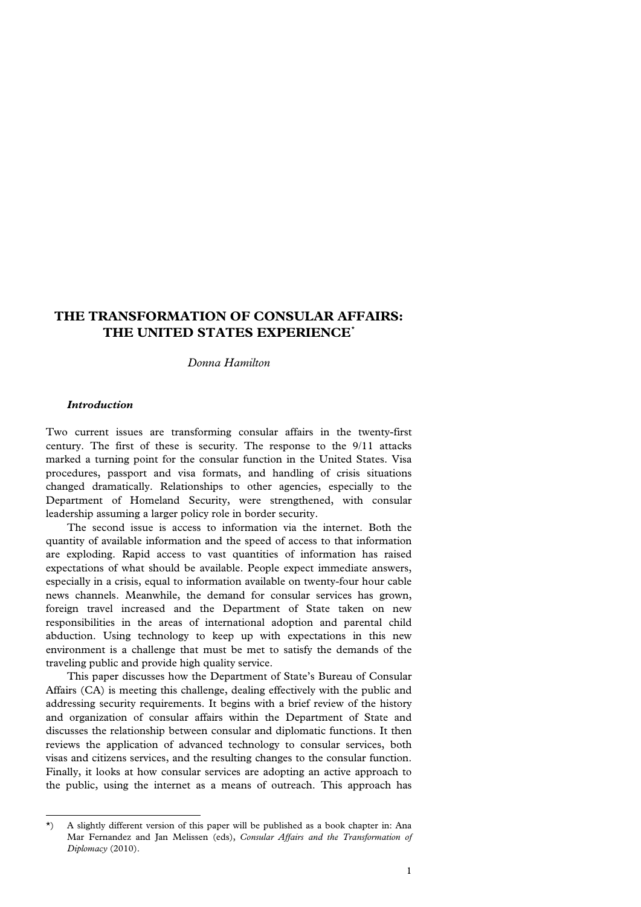## **THE TRANSFORMATION OF CONSULAR AFFAIRS: THE UNITED STATES EXPERIENCE[\\*](#page-3-0)**

*Donna Hamilton* 

## *Introduction*

l

Two current issues are transforming consular affairs in the twenty-first century. The first of these is security. The response to the 9/11 attacks marked a turning point for the consular function in the United States. Visa procedures, passport and visa formats, and handling of crisis situations changed dramatically. Relationships to other agencies, especially to the Department of Homeland Security, were strengthened, with consular leadership assuming a larger policy role in border security.

 The second issue is access to information via the internet. Both the quantity of available information and the speed of access to that information are exploding. Rapid access to vast quantities of information has raised expectations of what should be available. People expect immediate answers, especially in a crisis, equal to information available on twenty-four hour cable news channels. Meanwhile, the demand for consular services has grown, foreign travel increased and the Department of State taken on new responsibilities in the areas of international adoption and parental child abduction. Using technology to keep up with expectations in this new environment is a challenge that must be met to satisfy the demands of the traveling public and provide high quality service.

 This paper discusses how the Department of State's Bureau of Consular Affairs (CA) is meeting this challenge, dealing effectively with the public and addressing security requirements. It begins with a brief review of the history and organization of consular affairs within the Department of State and discusses the relationship between consular and diplomatic functions. It then reviews the application of advanced technology to consular services, both visas and citizens services, and the resulting changes to the consular function. Finally, it looks at how consular services are adopting an active approach to the public, using the internet as a means of outreach. This approach has

<span id="page-3-0"></span><sup>\*)</sup> A slightly different version of this paper will be published as a book chapter in: Ana Mar Fernandez and Jan Melissen (eds), *Consular Affairs and the Transformation of Diplomacy* (2010).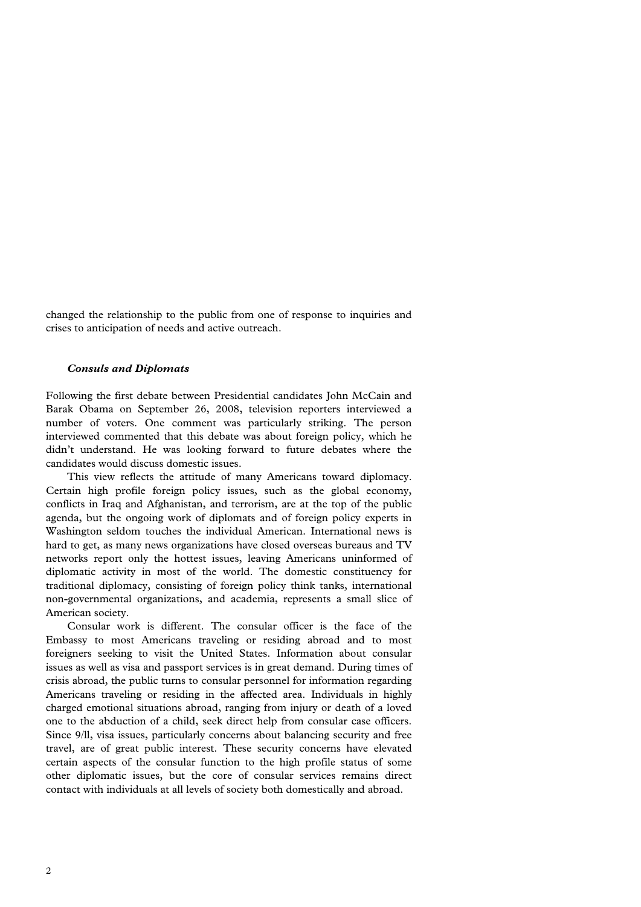changed the relationship to the public from one of response to inquiries and crises to anticipation of needs and active outreach.

#### *Consuls and Diplomats*

Following the first debate between Presidential candidates John McCain and Barak Obama on September 26, 2008, television reporters interviewed a number of voters. One comment was particularly striking. The person interviewed commented that this debate was about foreign policy, which he didn't understand. He was looking forward to future debates where the candidates would discuss domestic issues.

 This view reflects the attitude of many Americans toward diplomacy. Certain high profile foreign policy issues, such as the global economy, conflicts in Iraq and Afghanistan, and terrorism, are at the top of the public agenda, but the ongoing work of diplomats and of foreign policy experts in Washington seldom touches the individual American. International news is hard to get, as many news organizations have closed overseas bureaus and TV networks report only the hottest issues, leaving Americans uninformed of diplomatic activity in most of the world. The domestic constituency for traditional diplomacy, consisting of foreign policy think tanks, international non-governmental organizations, and academia, represents a small slice of American society.

 Consular work is different. The consular officer is the face of the Embassy to most Americans traveling or residing abroad and to most foreigners seeking to visit the United States. Information about consular issues as well as visa and passport services is in great demand. During times of crisis abroad, the public turns to consular personnel for information regarding Americans traveling or residing in the affected area. Individuals in highly charged emotional situations abroad, ranging from injury or death of a loved one to the abduction of a child, seek direct help from consular case officers. Since 9/ll, visa issues, particularly concerns about balancing security and free travel, are of great public interest. These security concerns have elevated certain aspects of the consular function to the high profile status of some other diplomatic issues, but the core of consular services remains direct contact with individuals at all levels of society both domestically and abroad.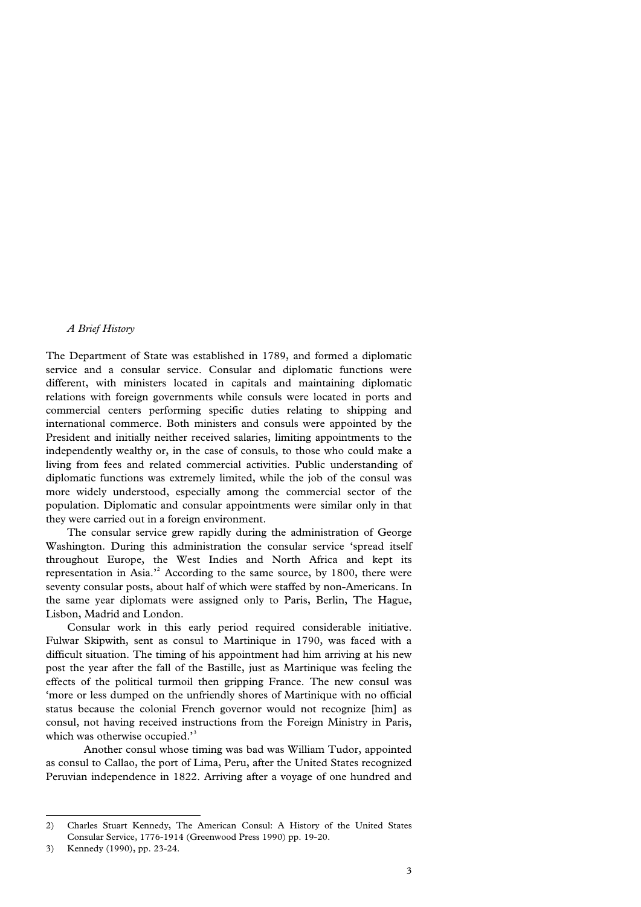## *A Brief History*

The Department of State was established in 1789, and formed a diplomatic service and a consular service. Consular and diplomatic functions were different, with ministers located in capitals and maintaining diplomatic relations with foreign governments while consuls were located in ports and commercial centers performing specific duties relating to shipping and international commerce. Both ministers and consuls were appointed by the President and initially neither received salaries, limiting appointments to the independently wealthy or, in the case of consuls, to those who could make a living from fees and related commercial activities. Public understanding of diplomatic functions was extremely limited, while the job of the consul was more widely understood, especially among the commercial sector of the population. Diplomatic and consular appointments were similar only in that they were carried out in a foreign environment.

 The consular service grew rapidly during the administration of George Washington. During this administration the consular service 'spread itself throughout Europe, the West Indies and North Africa and kept its representation in Asia.<sup>3[2](#page-5-0)</sup> According to the same source, by 1800, there were seventy consular posts, about half of which were staffed by non-Americans. In the same year diplomats were assigned only to Paris, Berlin, The Hague, Lisbon, Madrid and London.

 Consular work in this early period required considerable initiative. Fulwar Skipwith, sent as consul to Martinique in 1790, was faced with a difficult situation. The timing of his appointment had him arriving at his new post the year after the fall of the Bastille, just as Martinique was feeling the effects of the political turmoil then gripping France. The new consul was 'more or less dumped on the unfriendly shores of Martinique with no official status because the colonial French governor would not recognize [him] as consul, not having received instructions from the Foreign Ministry in Paris, which was otherwise occupied.'<sup>[3](#page-5-1)</sup>

Another consul whose timing was bad was William Tudor, appointed as consul to Callao, the port of Lima, Peru, after the United States recognized Peruvian independence in 1822. Arriving after a voyage of one hundred and

<span id="page-5-0"></span><sup>2)</sup> Charles Stuart Kennedy, The American Consul: A History of the United States Consular Service, 1776-1914 (Greenwood Press 1990) pp. 19-20.

<span id="page-5-1"></span><sup>3)</sup> Kennedy (1990), pp. 23-24.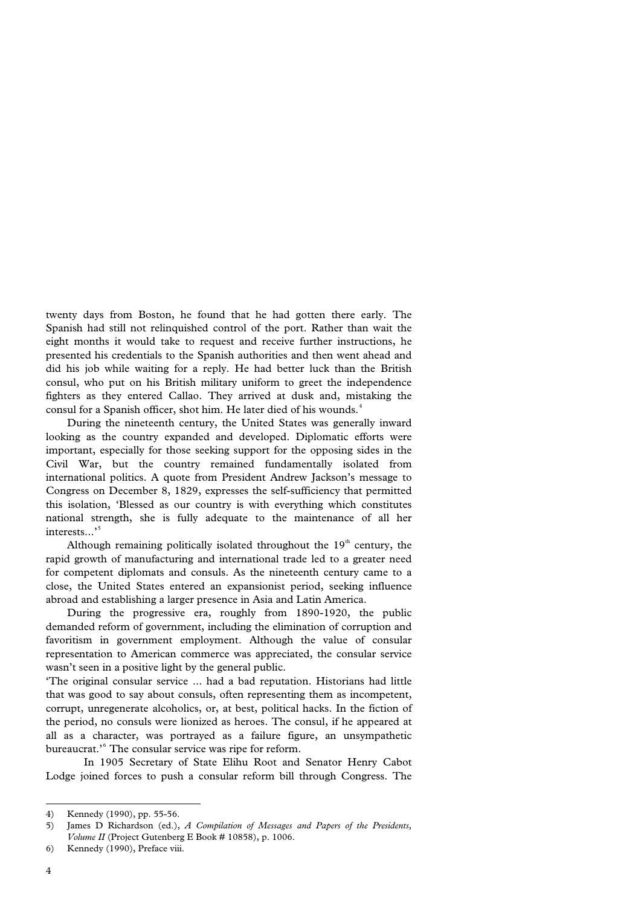twenty days from Boston, he found that he had gotten there early. The Spanish had still not relinquished control of the port. Rather than wait the eight months it would take to request and receive further instructions, he presented his credentials to the Spanish authorities and then went ahead and did his job while waiting for a reply. He had better luck than the British consul, who put on his British military uniform to greet the independence fighters as they entered Callao. They arrived at dusk and, mistaking the consul for a Spanish officer, shot him. He later died of his wounds.<sup>[4](#page-6-0)</sup>

 During the nineteenth century, the United States was generally inward looking as the country expanded and developed. Diplomatic efforts were important, especially for those seeking support for the opposing sides in the Civil War, but the country remained fundamentally isolated from international politics. A quote from President Andrew Jackson's message to Congress on December 8, 1829, expresses the self-sufficiency that permitted this isolation, 'Blessed as our country is with everything which constitutes national strength, she is fully adequate to the maintenance of all her interests...'<sup>[5](#page-6-1)</sup>

Although remaining politically isolated throughout the  $19<sup>th</sup>$  century, the rapid growth of manufacturing and international trade led to a greater need for competent diplomats and consuls. As the nineteenth century came to a close, the United States entered an expansionist period, seeking influence abroad and establishing a larger presence in Asia and Latin America.

 During the progressive era, roughly from 1890-1920, the public demanded reform of government, including the elimination of corruption and favoritism in government employment. Although the value of consular representation to American commerce was appreciated, the consular service wasn't seen in a positive light by the general public.

'The original consular service ... had a bad reputation. Historians had little that was good to say about consuls, often representing them as incompetent, corrupt, unregenerate alcoholics, or, at best, political hacks. In the fiction of the period, no consuls were lionized as heroes. The consul, if he appeared at all as a character, was portrayed as a failure figure, an unsympathetic bureaucrat.'[6](#page-6-2) The consular service was ripe for reform.

In 1905 Secretary of State Elihu Root and Senator Henry Cabot Lodge joined forces to push a consular reform bill through Congress. The

<span id="page-6-0"></span><sup>4)</sup> Kennedy (1990), pp. 55-56.

<span id="page-6-1"></span><sup>5)</sup> James D Richardson (ed.), *A Compilation of Messages and Papers of the Presidents, Volume II* (Project Gutenberg E Book # 10858), p. 1006.

<span id="page-6-2"></span><sup>6)</sup> Kennedy (1990), Preface viii.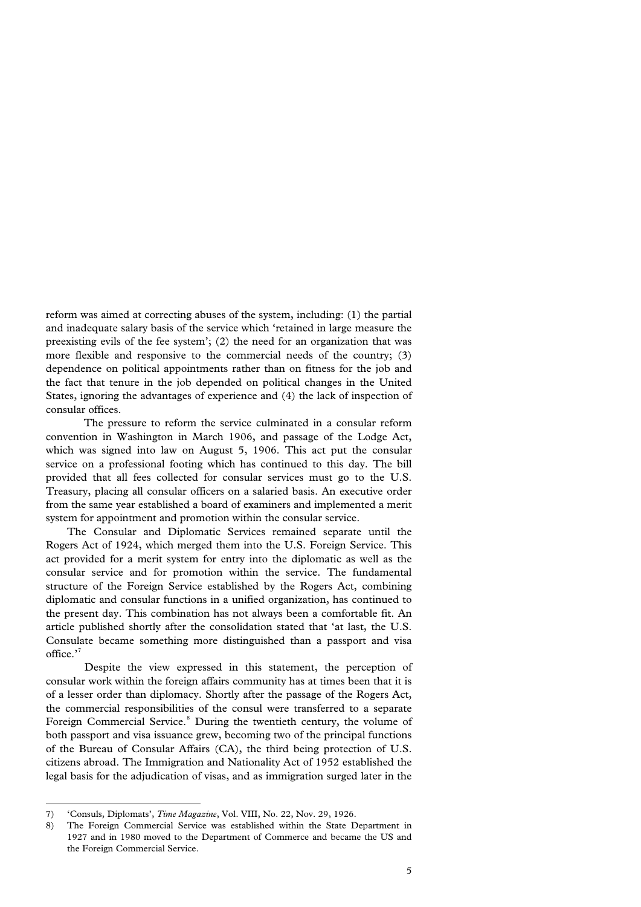reform was aimed at correcting abuses of the system, including: (1) the partial and inadequate salary basis of the service which 'retained in large measure the preexisting evils of the fee system'; (2) the need for an organization that was more flexible and responsive to the commercial needs of the country; (3) dependence on political appointments rather than on fitness for the job and the fact that tenure in the job depended on political changes in the United States, ignoring the advantages of experience and (4) the lack of inspection of consular offices.

The pressure to reform the service culminated in a consular reform convention in Washington in March 1906, and passage of the Lodge Act, which was signed into law on August 5, 1906. This act put the consular service on a professional footing which has continued to this day. The bill provided that all fees collected for consular services must go to the U.S. Treasury, placing all consular officers on a salaried basis. An executive order from the same year established a board of examiners and implemented a merit system for appointment and promotion within the consular service.

 The Consular and Diplomatic Services remained separate until the Rogers Act of 1924, which merged them into the U.S. Foreign Service. This act provided for a merit system for entry into the diplomatic as well as the consular service and for promotion within the service. The fundamental structure of the Foreign Service established by the Rogers Act, combining diplomatic and consular functions in a unified organization, has continued to the present day. This combination has not always been a comfortable fit. An article published shortly after the consolidation stated that 'at last, the U.S. Consulate became something more distinguished than a passport and visa office.'<sup>[7](#page-7-0)</sup>

Despite the view expressed in this statement, the perception of consular work within the foreign affairs community has at times been that it is of a lesser order than diplomacy. Shortly after the passage of the Rogers Act, the commercial responsibilities of the consul were transferred to a separate Foreign Commercial Service.<sup>[8](#page-7-1)</sup> During the twentieth century, the volume of both passport and visa issuance grew, becoming two of the principal functions of the Bureau of Consular Affairs (CA), the third being protection of U.S. citizens abroad. The Immigration and Nationality Act of 1952 established the legal basis for the adjudication of visas, and as immigration surged later in the

<span id="page-7-0"></span><sup>7) &#</sup>x27;Consuls, Diplomats', *Time Magazine*, Vol. VIII, No. 22, Nov. 29, 1926.

<span id="page-7-1"></span><sup>8)</sup> The Foreign Commercial Service was established within the State Department in 1927 and in 1980 moved to the Department of Commerce and became the US and the Foreign Commercial Service.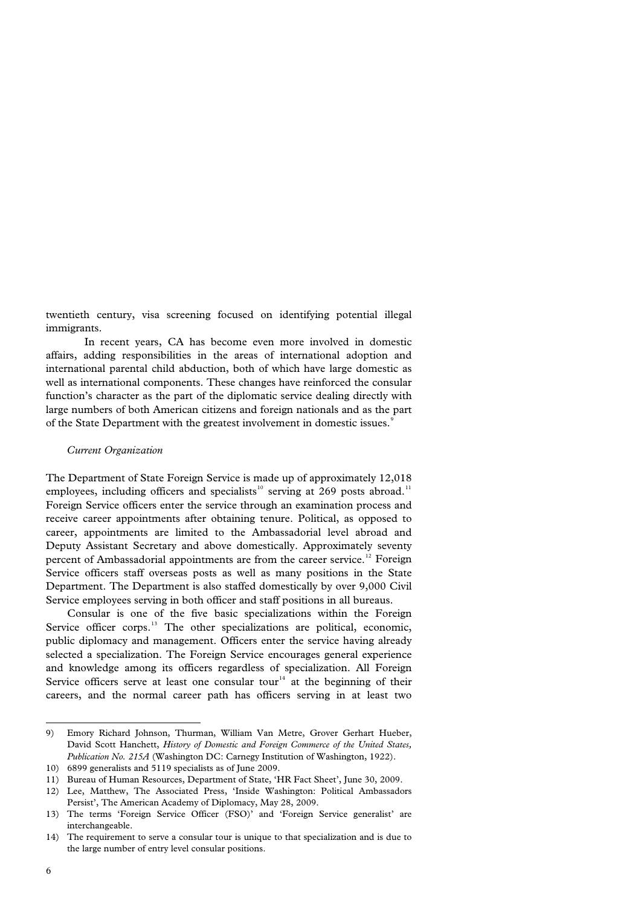twentieth century, visa screening focused on identifying potential illegal immigrants.

In recent years, CA has become even more involved in domestic affairs, adding responsibilities in the areas of international adoption and international parental child abduction, both of which have large domestic as well as international components. These changes have reinforced the consular function's character as the part of the diplomatic service dealing directly with large numbers of both American citizens and foreign nationals and as the part of the State Department with the greatest involvement in domestic issues.<sup>[9](#page-8-0)</sup>

#### *Current Organization*

The Department of State Foreign Service is made up of approximately 12,018 employees, including officers and specialists<sup>[10](#page-8-1)</sup> serving at 269 posts abroad.<sup>[11](#page-8-2)</sup> Foreign Service officers enter the service through an examination process and receive career appointments after obtaining tenure. Political, as opposed to career, appointments are limited to the Ambassadorial level abroad and Deputy Assistant Secretary and above domestically. Approximately seventy percent of Ambassadorial appointments are from the career service.<sup>[12](#page-8-3)</sup> Foreign Service officers staff overseas posts as well as many positions in the State Department. The Department is also staffed domestically by over 9,000 Civil Service employees serving in both officer and staff positions in all bureaus.

 Consular is one of the five basic specializations within the Foreign Service officer corps.<sup>[13](#page-8-4)</sup> The other specializations are political, economic, public diplomacy and management. Officers enter the service having already selected a specialization. The Foreign Service encourages general experience and knowledge among its officers regardless of specialization. All Foreign Service officers serve at least one consular tour<sup>[14](#page-8-5)</sup> at the beginning of their careers, and the normal career path has officers serving in at least two

<span id="page-8-0"></span><sup>9)</sup> Emory Richard Johnson, Thurman, William Van Metre, Grover Gerhart Hueber, David Scott Hanchett, *History of Domestic and Foreign Commerce of the United States, Publication No. 215A* (Washington DC: Carnegy Institution of Washington, 1922).

<span id="page-8-1"></span><sup>10) 6899</sup> generalists and 5119 specialists as of June 2009.

<span id="page-8-2"></span><sup>11)</sup> Bureau of Human Resources, Department of State, 'HR Fact Sheet', June 30, 2009.

<span id="page-8-3"></span><sup>12)</sup> Lee, Matthew, The Associated Press, 'Inside Washington: Political Ambassadors Persist', The American Academy of Diplomacy, May 28, 2009.

<span id="page-8-4"></span><sup>13)</sup> The terms 'Foreign Service Officer (FSO)' and 'Foreign Service generalist' are interchangeable.

<span id="page-8-5"></span><sup>14)</sup> The requirement to serve a consular tour is unique to that specialization and is due to the large number of entry level consular positions.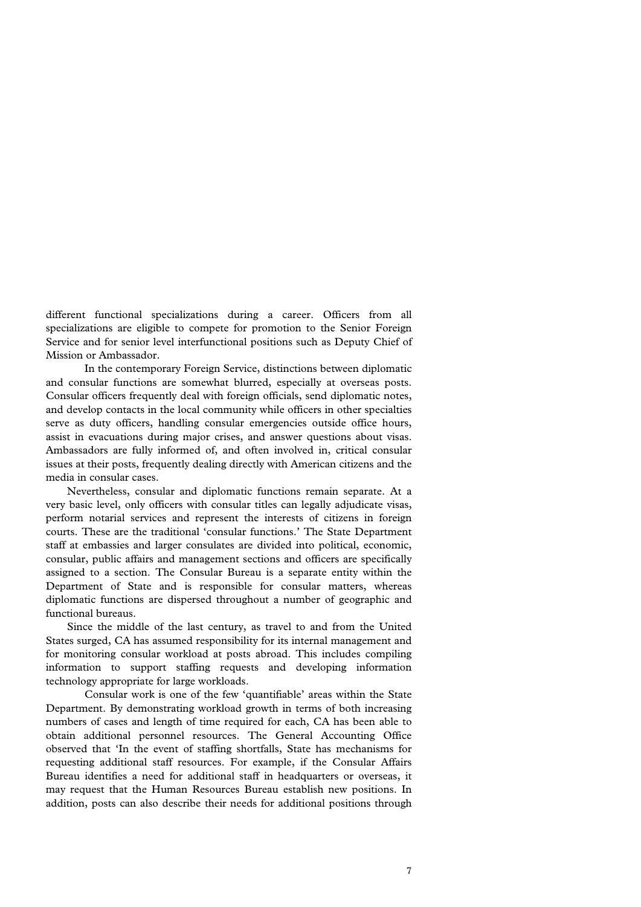different functional specializations during a career. Officers from all specializations are eligible to compete for promotion to the Senior Foreign Service and for senior level interfunctional positions such as Deputy Chief of Mission or Ambassador.

In the contemporary Foreign Service, distinctions between diplomatic and consular functions are somewhat blurred, especially at overseas posts. Consular officers frequently deal with foreign officials, send diplomatic notes, and develop contacts in the local community while officers in other specialties serve as duty officers, handling consular emergencies outside office hours, assist in evacuations during major crises, and answer questions about visas. Ambassadors are fully informed of, and often involved in, critical consular issues at their posts, frequently dealing directly with American citizens and the media in consular cases.

 Nevertheless, consular and diplomatic functions remain separate. At a very basic level, only officers with consular titles can legally adjudicate visas, perform notarial services and represent the interests of citizens in foreign courts. These are the traditional 'consular functions.' The State Department staff at embassies and larger consulates are divided into political, economic, consular, public affairs and management sections and officers are specifically assigned to a section. The Consular Bureau is a separate entity within the Department of State and is responsible for consular matters, whereas diplomatic functions are dispersed throughout a number of geographic and functional bureaus.

 Since the middle of the last century, as travel to and from the United States surged, CA has assumed responsibility for its internal management and for monitoring consular workload at posts abroad. This includes compiling information to support staffing requests and developing information technology appropriate for large workloads.

Consular work is one of the few 'quantifiable' areas within the State Department. By demonstrating workload growth in terms of both increasing numbers of cases and length of time required for each, CA has been able to obtain additional personnel resources. The General Accounting Office observed that 'In the event of staffing shortfalls, State has mechanisms for requesting additional staff resources. For example, if the Consular Affairs Bureau identifies a need for additional staff in headquarters or overseas, it may request that the Human Resources Bureau establish new positions. In addition, posts can also describe their needs for additional positions through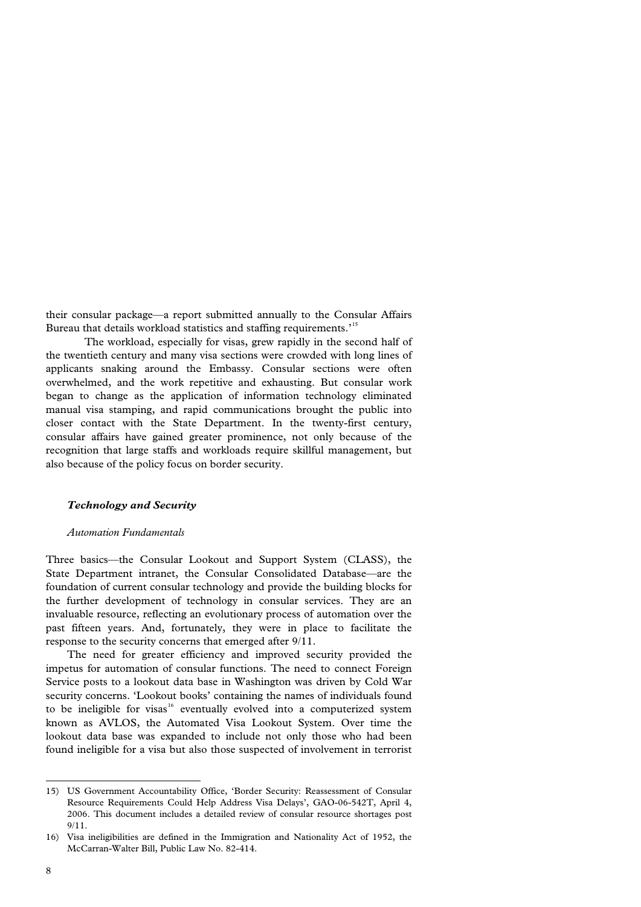their consular package—a report submitted annually to the Consular Affairs Bureau that details workload statistics and staffing requirements.'[15](#page-10-0)

The workload, especially for visas, grew rapidly in the second half of the twentieth century and many visa sections were crowded with long lines of applicants snaking around the Embassy. Consular sections were often overwhelmed, and the work repetitive and exhausting. But consular work began to change as the application of information technology eliminated manual visa stamping, and rapid communications brought the public into closer contact with the State Department. In the twenty-first century, consular affairs have gained greater prominence, not only because of the recognition that large staffs and workloads require skillful management, but also because of the policy focus on border security.

## *Technology and Security*

#### *Automation Fundamentals*

Three basics—the Consular Lookout and Support System (CLASS), the State Department intranet, the Consular Consolidated Database—are the foundation of current consular technology and provide the building blocks for the further development of technology in consular services. They are an invaluable resource, reflecting an evolutionary process of automation over the past fifteen years. And, fortunately, they were in place to facilitate the response to the security concerns that emerged after 9/11.

 The need for greater efficiency and improved security provided the impetus for automation of consular functions. The need to connect Foreign Service posts to a lookout data base in Washington was driven by Cold War security concerns. 'Lookout books' containing the names of individuals found to be ineligible for visas<sup>[16](#page-10-1)</sup> eventually evolved into a computerized system known as AVLOS, the Automated Visa Lookout System. Over time the lookout data base was expanded to include not only those who had been found ineligible for a visa but also those suspected of involvement in terrorist

<span id="page-10-0"></span><sup>15)</sup> US Government Accountability Office, 'Border Security: Reassessment of Consular Resource Requirements Could Help Address Visa Delays', GAO-06-542T, April 4, 2006. This document includes a detailed review of consular resource shortages post 9/11.

<span id="page-10-1"></span><sup>16)</sup> Visa ineligibilities are defined in the Immigration and Nationality Act of 1952, the McCarran-Walter Bill, Public Law No. 82-414.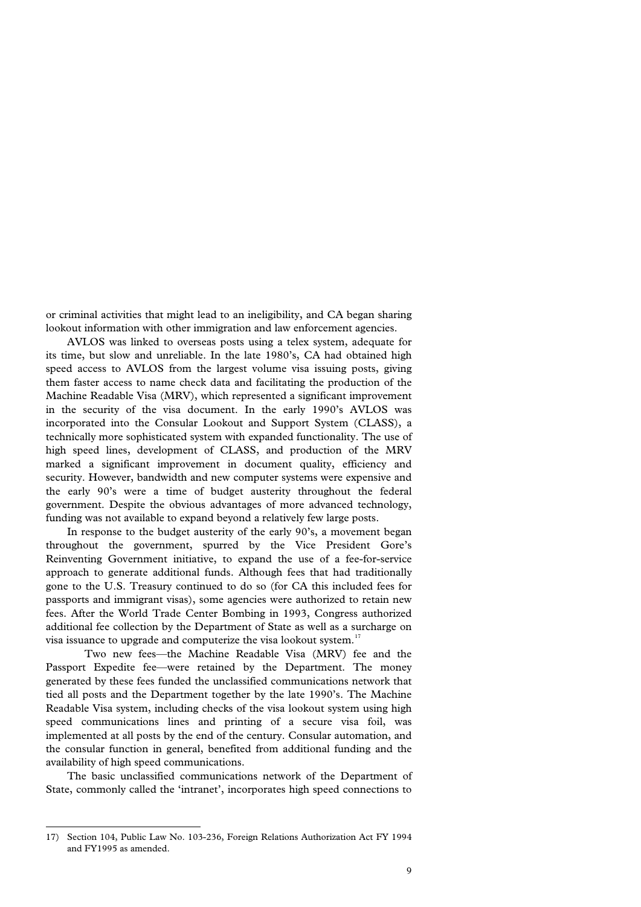or criminal activities that might lead to an ineligibility, and CA began sharing lookout information with other immigration and law enforcement agencies.

 AVLOS was linked to overseas posts using a telex system, adequate for its time, but slow and unreliable. In the late 1980's, CA had obtained high speed access to AVLOS from the largest volume visa issuing posts, giving them faster access to name check data and facilitating the production of the Machine Readable Visa (MRV), which represented a significant improvement in the security of the visa document. In the early 1990's AVLOS was incorporated into the Consular Lookout and Support System (CLASS), a technically more sophisticated system with expanded functionality. The use of high speed lines, development of CLASS, and production of the MRV marked a significant improvement in document quality, efficiency and security. However, bandwidth and new computer systems were expensive and the early 90's were a time of budget austerity throughout the federal government. Despite the obvious advantages of more advanced technology, funding was not available to expand beyond a relatively few large posts.

 In response to the budget austerity of the early 90's, a movement began throughout the government, spurred by the Vice President Gore's Reinventing Government initiative, to expand the use of a fee-for-service approach to generate additional funds. Although fees that had traditionally gone to the U.S. Treasury continued to do so (for CA this included fees for passports and immigrant visas), some agencies were authorized to retain new fees. After the World Trade Center Bombing in 1993, Congress authorized additional fee collection by the Department of State as well as a surcharge on visa issuance to upgrade and computerize the visa lookout system.<sup>[17](#page-11-0)</sup>

Two new fees—the Machine Readable Visa (MRV) fee and the Passport Expedite fee—were retained by the Department. The money generated by these fees funded the unclassified communications network that tied all posts and the Department together by the late 1990's. The Machine Readable Visa system, including checks of the visa lookout system using high speed communications lines and printing of a secure visa foil, was implemented at all posts by the end of the century. Consular automation, and the consular function in general, benefited from additional funding and the availability of high speed communications.

 The basic unclassified communications network of the Department of State, commonly called the 'intranet', incorporates high speed connections to

<span id="page-11-0"></span><sup>17)</sup> Section 104, Public Law No. 103-236, Foreign Relations Authorization Act FY 1994 and FY1995 as amended.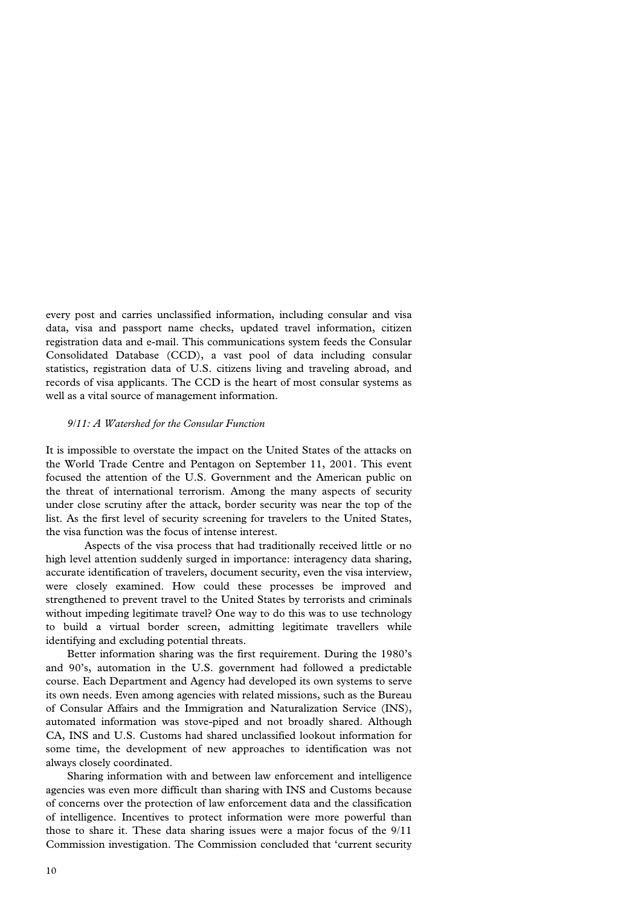every post and carries unclassified information, including consular and visa data, visa and passport name checks, updated travel information, citizen registration data and e-mail. This communications system feeds the Consular Consolidated Database (CCD), a vast pool of data including consular statistics, registration data of U.S. citizens living and traveling abroad, and records of visa applicants. The CCD is the heart of most consular systems as well as a vital source of management information.

#### *9/11: A Watershed for the Consular Function*

It is impossible to overstate the impact on the United States of the attacks on the World Trade Centre and Pentagon on September 11, 2001. This event focused the attention of the U.S. Government and the American public on the threat of international terrorism. Among the many aspects of security under close scrutiny after the attack, border security was near the top of the list. As the first level of security screening for travelers to the United States, the visa function was the focus of intense interest.

Aspects of the visa process that had traditionally received little or no high level attention suddenly surged in importance: interagency data sharing, accurate identification of travelers, document security, even the visa interview, were closely examined. How could these processes be improved and strengthened to prevent travel to the United States by terrorists and criminals without impeding legitimate travel? One way to do this was to use technology to build a virtual border screen, admitting legitimate travellers while identifying and excluding potential threats.

 Better information sharing was the first requirement. During the 1980's and 90's, automation in the U.S. government had followed a predictable course. Each Department and Agency had developed its own systems to serve its own needs. Even among agencies with related missions, such as the Bureau of Consular Affairs and the Immigration and Naturalization Service (INS), automated information was stove-piped and not broadly shared. Although CA, INS and U.S. Customs had shared unclassified lookout information for some time, the development of new approaches to identification was not always closely coordinated.

 Sharing information with and between law enforcement and intelligence agencies was even more difficult than sharing with INS and Customs because of concerns over the protection of law enforcement data and the classification of intelligence. Incentives to protect information were more powerful than those to share it. These data sharing issues were a major focus of the 9/11 Commission investigation. The Commission concluded that 'current security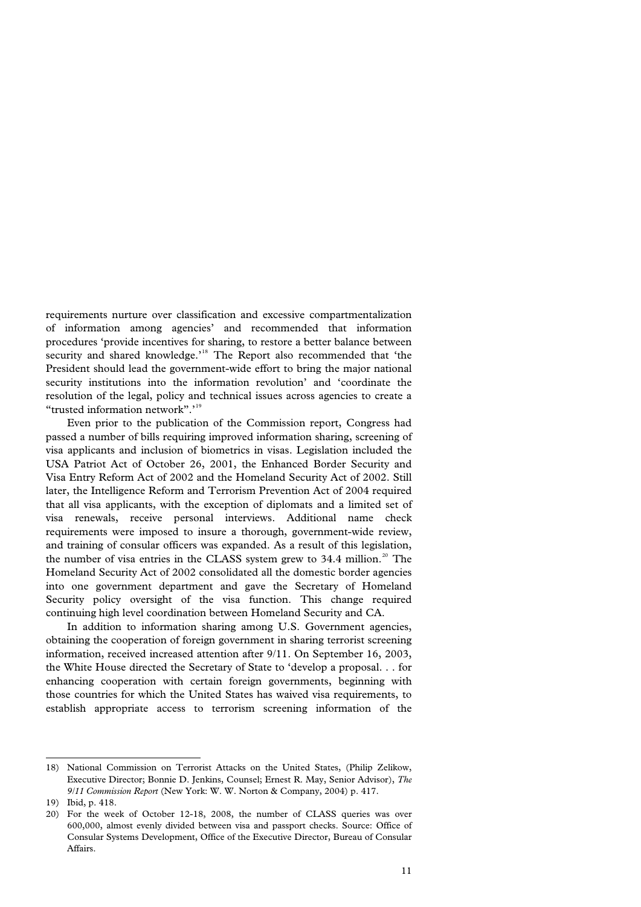requirements nurture over classification and excessive compartmentalization of information among agencies' and recommended that information procedures 'provide incentives for sharing, to restore a better balance between security and shared knowledge.'<sup>[18](#page-13-0)</sup> The Report also recommended that 'the President should lead the government-wide effort to bring the major national security institutions into the information revolution' and 'coordinate the resolution of the legal, policy and technical issues across agencies to create a "trusted information network".'<sup>[19](#page-13-1)</sup>

 Even prior to the publication of the Commission report, Congress had passed a number of bills requiring improved information sharing, screening of visa applicants and inclusion of biometrics in visas. Legislation included the USA Patriot Act of October 26, 2001, the Enhanced Border Security and Visa Entry Reform Act of 2002 and the Homeland Security Act of 2002. Still later, the Intelligence Reform and Terrorism Prevention Act of 2004 required that all visa applicants, with the exception of diplomats and a limited set of visa renewals, receive personal interviews. Additional name check requirements were imposed to insure a thorough, government-wide review, and training of consular officers was expanded. As a result of this legislation, the number of visa entries in the CLASS system grew to  $34.4$  million.<sup>[20](#page-13-2)</sup> The Homeland Security Act of 2002 consolidated all the domestic border agencies into one government department and gave the Secretary of Homeland Security policy oversight of the visa function. This change required continuing high level coordination between Homeland Security and CA.

 In addition to information sharing among U.S. Government agencies, obtaining the cooperation of foreign government in sharing terrorist screening information, received increased attention after 9/11. On September 16, 2003, the White House directed the Secretary of State to 'develop a proposal. . . for enhancing cooperation with certain foreign governments, beginning with those countries for which the United States has waived visa requirements, to establish appropriate access to terrorism screening information of the

<span id="page-13-0"></span><sup>18)</sup> National Commission on Terrorist Attacks on the United States, (Philip Zelikow, Executive Director; Bonnie D. Jenkins, Counsel; Ernest R. May, Senior Advisor), *The 9/11 Commission Report* (New York: W. W. Norton & Company, 2004) p. 417.

<span id="page-13-1"></span><sup>19)</sup> Ibid, p. 418.

<span id="page-13-2"></span><sup>20)</sup> For the week of October 12-18, 2008, the number of CLASS queries was over 600,000, almost evenly divided between visa and passport checks. Source: Office of Consular Systems Development, Office of the Executive Director, Bureau of Consular Affairs.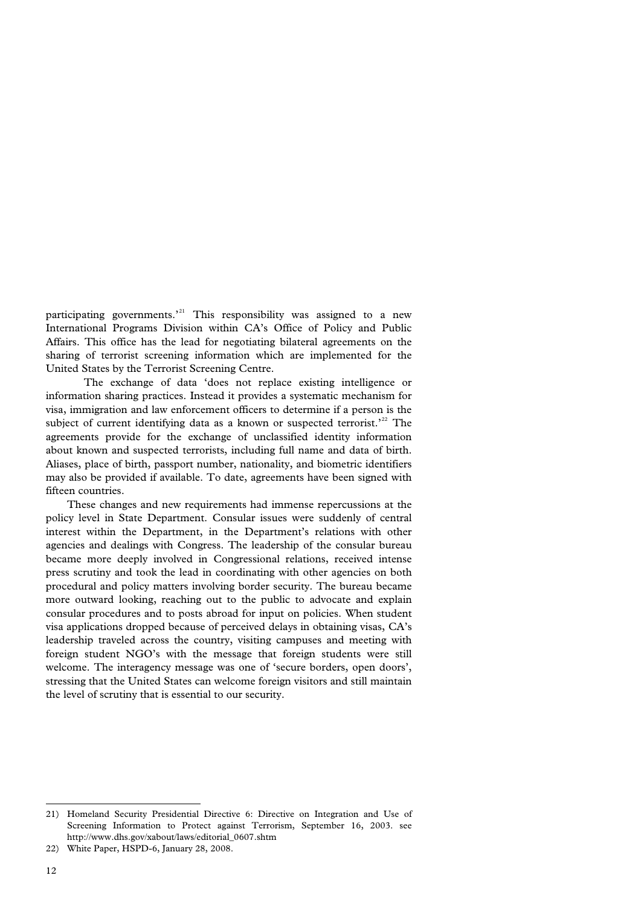participating governments.<sup> $21$ </sup> This responsibility was assigned to a new International Programs Division within CA's Office of Policy and Public Affairs. This office has the lead for negotiating bilateral agreements on the sharing of terrorist screening information which are implemented for the United States by the Terrorist Screening Centre.

The exchange of data 'does not replace existing intelligence or information sharing practices. Instead it provides a systematic mechanism for visa, immigration and law enforcement officers to determine if a person is the subject of current identifying data as a known or suspected terrorist.<sup> $22$ </sup> The agreements provide for the exchange of unclassified identity information about known and suspected terrorists, including full name and data of birth. Aliases, place of birth, passport number, nationality, and biometric identifiers may also be provided if available. To date, agreements have been signed with fifteen countries.

 These changes and new requirements had immense repercussions at the policy level in State Department. Consular issues were suddenly of central interest within the Department, in the Department's relations with other agencies and dealings with Congress. The leadership of the consular bureau became more deeply involved in Congressional relations, received intense press scrutiny and took the lead in coordinating with other agencies on both procedural and policy matters involving border security. The bureau became more outward looking, reaching out to the public to advocate and explain consular procedures and to posts abroad for input on policies. When student visa applications dropped because of perceived delays in obtaining visas, CA's leadership traveled across the country, visiting campuses and meeting with foreign student NGO's with the message that foreign students were still welcome. The interagency message was one of 'secure borders, open doors', stressing that the United States can welcome foreign visitors and still maintain the level of scrutiny that is essential to our security.

<span id="page-14-0"></span><sup>21)</sup> Homeland Security Presidential Directive 6: Directive on Integration and Use of Screening Information to Protect against Terrorism, September 16, 2003. see http://www.dhs.gov/xabout/laws/editorial\_0607.shtm

<span id="page-14-1"></span><sup>22)</sup> White Paper, HSPD-6, January 28, 2008.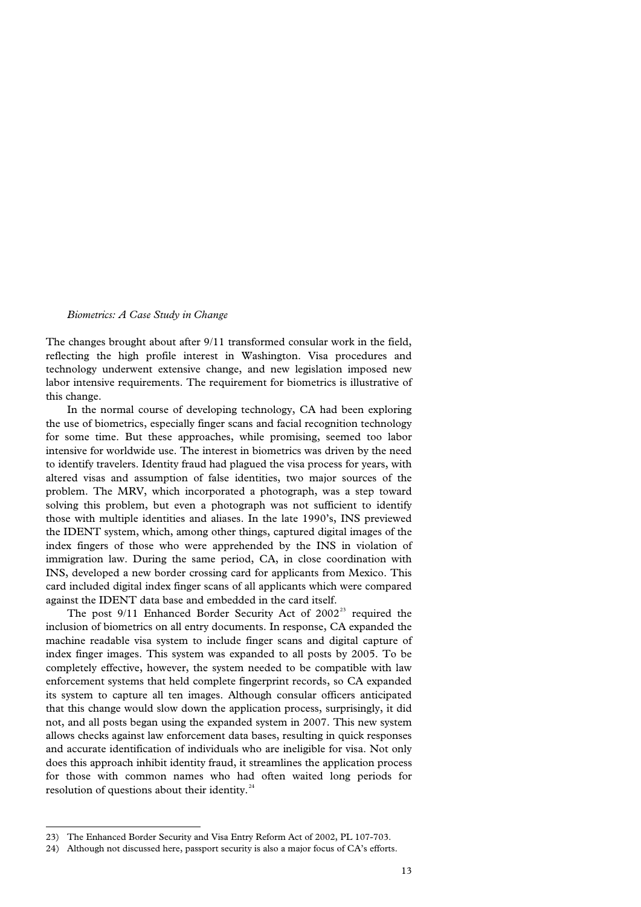#### *Biometrics: A Case Study in Change*

The changes brought about after 9/11 transformed consular work in the field, reflecting the high profile interest in Washington. Visa procedures and technology underwent extensive change, and new legislation imposed new labor intensive requirements. The requirement for biometrics is illustrative of this change.

 In the normal course of developing technology, CA had been exploring the use of biometrics, especially finger scans and facial recognition technology for some time. But these approaches, while promising, seemed too labor intensive for worldwide use. The interest in biometrics was driven by the need to identify travelers. Identity fraud had plagued the visa process for years, with altered visas and assumption of false identities, two major sources of the problem. The MRV, which incorporated a photograph, was a step toward solving this problem, but even a photograph was not sufficient to identify those with multiple identities and aliases. In the late 1990's, INS previewed the IDENT system, which, among other things, captured digital images of the index fingers of those who were apprehended by the INS in violation of immigration law. During the same period, CA, in close coordination with INS, developed a new border crossing card for applicants from Mexico. This card included digital index finger scans of all applicants which were compared against the IDENT data base and embedded in the card itself.

The post  $9/11$  Enhanced Border Security Act of  $2002<sup>23</sup>$  $2002<sup>23</sup>$  $2002<sup>23</sup>$  required the inclusion of biometrics on all entry documents. In response, CA expanded the machine readable visa system to include finger scans and digital capture of index finger images. This system was expanded to all posts by 2005. To be completely effective, however, the system needed to be compatible with law enforcement systems that held complete fingerprint records, so CA expanded its system to capture all ten images. Although consular officers anticipated that this change would slow down the application process, surprisingly, it did not, and all posts began using the expanded system in 2007. This new system allows checks against law enforcement data bases, resulting in quick responses and accurate identification of individuals who are ineligible for visa. Not only does this approach inhibit identity fraud, it streamlines the application process for those with common names who had often waited long periods for resolution of questions about their identity. $24$ 

l 23) The Enhanced Border Security and Visa Entry Reform Act of 2002, PL 107-703.

<span id="page-15-1"></span><span id="page-15-0"></span><sup>24)</sup> Although not discussed here, passport security is also a major focus of CA's efforts.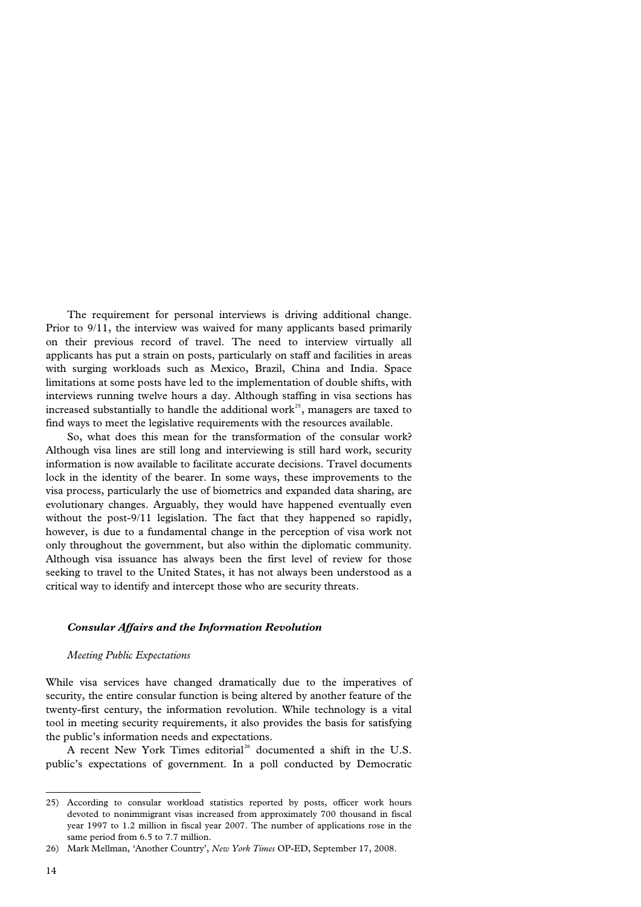The requirement for personal interviews is driving additional change. Prior to 9/11, the interview was waived for many applicants based primarily on their previous record of travel. The need to interview virtually all applicants has put a strain on posts, particularly on staff and facilities in areas with surging workloads such as Mexico, Brazil, China and India. Space limitations at some posts have led to the implementation of double shifts, with interviews running twelve hours a day. Although staffing in visa sections has increased substantially to handle the additional work<sup>[25](#page-16-0)</sup>, managers are taxed to find ways to meet the legislative requirements with the resources available.

 So, what does this mean for the transformation of the consular work? Although visa lines are still long and interviewing is still hard work, security information is now available to facilitate accurate decisions. Travel documents lock in the identity of the bearer. In some ways, these improvements to the visa process, particularly the use of biometrics and expanded data sharing, are evolutionary changes. Arguably, they would have happened eventually even without the post-9/11 legislation. The fact that they happened so rapidly, however, is due to a fundamental change in the perception of visa work not only throughout the government, but also within the diplomatic community. Although visa issuance has always been the first level of review for those seeking to travel to the United States, it has not always been understood as a critical way to identify and intercept those who are security threats.

#### *Consular Affairs and the Information Revolution*

#### *Meeting Public Expectations*

While visa services have changed dramatically due to the imperatives of security, the entire consular function is being altered by another feature of the twenty-first century, the information revolution. While technology is a vital tool in meeting security requirements, it also provides the basis for satisfying the public's information needs and expectations.

A recent New York Times editorial<sup>[26](#page-16-1)</sup> documented a shift in the U.S. public's expectations of government. In a poll conducted by Democratic

<span id="page-16-0"></span><sup>25)</sup> According to consular workload statistics reported by posts, officer work hours devoted to nonimmigrant visas increased from approximately 700 thousand in fiscal year 1997 to 1.2 million in fiscal year 2007. The number of applications rose in the same period from 6.5 to 7.7 million.

<span id="page-16-1"></span><sup>26)</sup> Mark Mellman, 'Another Country', *New York Times* OP-ED, September 17, 2008.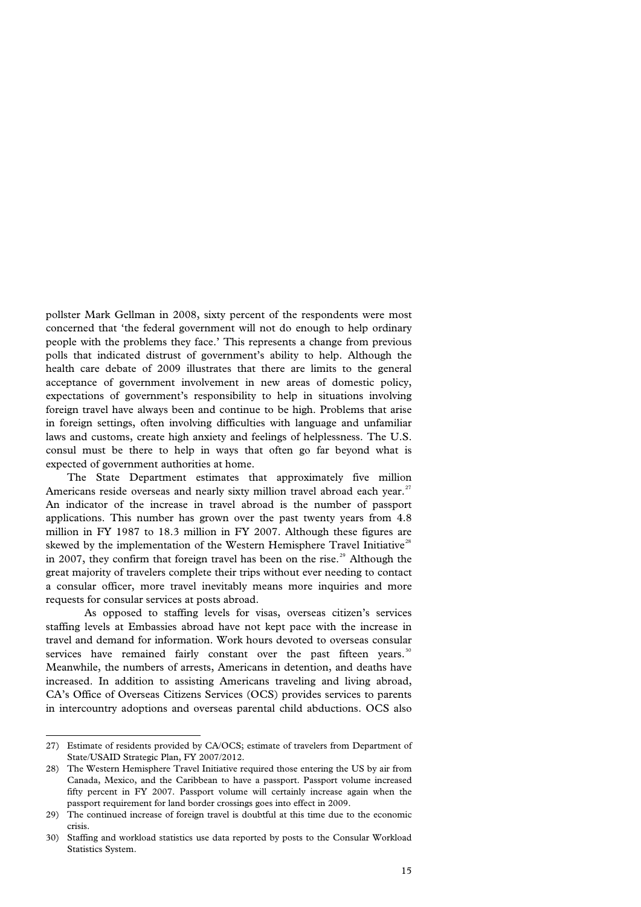pollster Mark Gellman in 2008, sixty percent of the respondents were most concerned that 'the federal government will not do enough to help ordinary people with the problems they face.' This represents a change from previous polls that indicated distrust of government's ability to help. Although the health care debate of 2009 illustrates that there are limits to the general acceptance of government involvement in new areas of domestic policy, expectations of government's responsibility to help in situations involving foreign travel have always been and continue to be high. Problems that arise in foreign settings, often involving difficulties with language and unfamiliar laws and customs, create high anxiety and feelings of helplessness. The U.S. consul must be there to help in ways that often go far beyond what is expected of government authorities at home.

 The State Department estimates that approximately five million Americans reside overseas and nearly sixty million travel abroad each year.<sup>[27](#page-17-0)</sup> An indicator of the increase in travel abroad is the number of passport applications. This number has grown over the past twenty years from 4.8 million in FY 1987 to 18.3 million in FY 2007. Although these figures are skewed by the implementation of the Western Hemisphere Travel Initiative<sup>[28](#page-17-1)</sup> in 2007, they confirm that foreign travel has been on the rise.<sup>[29](#page-17-2)</sup> Although the great majority of travelers complete their trips without ever needing to contact a consular officer, more travel inevitably means more inquiries and more requests for consular services at posts abroad.

As opposed to staffing levels for visas, overseas citizen's services staffing levels at Embassies abroad have not kept pace with the increase in travel and demand for information. Work hours devoted to overseas consular services have remained fairly constant over the past fifteen years.<sup>[30](#page-17-3)</sup> Meanwhile, the numbers of arrests, Americans in detention, and deaths have increased. In addition to assisting Americans traveling and living abroad, CA's Office of Overseas Citizens Services (OCS) provides services to parents in intercountry adoptions and overseas parental child abductions. OCS also

<span id="page-17-0"></span><sup>27)</sup> Estimate of residents provided by CA/OCS; estimate of travelers from Department of State/USAID Strategic Plan, FY 2007/2012.

<span id="page-17-1"></span><sup>28)</sup> The Western Hemisphere Travel Initiative required those entering the US by air from Canada, Mexico, and the Caribbean to have a passport. Passport volume increased fifty percent in FY 2007. Passport volume will certainly increase again when the passport requirement for land border crossings goes into effect in 2009.

<span id="page-17-2"></span><sup>29)</sup> The continued increase of foreign travel is doubtful at this time due to the economic crisis.

<span id="page-17-3"></span><sup>30)</sup> Staffing and workload statistics use data reported by posts to the Consular Workload Statistics System.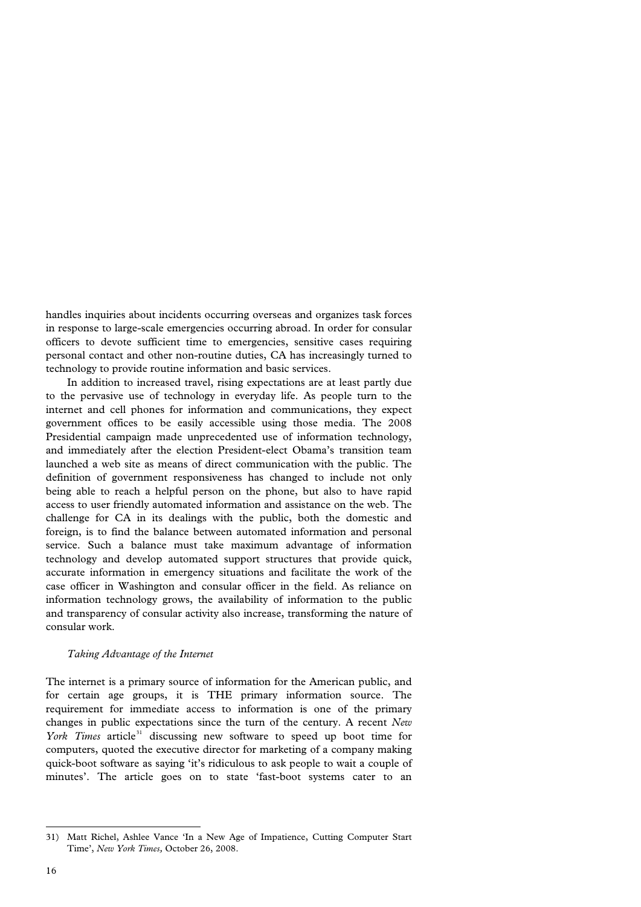handles inquiries about incidents occurring overseas and organizes task forces in response to large-scale emergencies occurring abroad. In order for consular officers to devote sufficient time to emergencies, sensitive cases requiring personal contact and other non-routine duties, CA has increasingly turned to technology to provide routine information and basic services.

 In addition to increased travel, rising expectations are at least partly due to the pervasive use of technology in everyday life. As people turn to the internet and cell phones for information and communications, they expect government offices to be easily accessible using those media. The 2008 Presidential campaign made unprecedented use of information technology, and immediately after the election President-elect Obama's transition team launched a web site as means of direct communication with the public. The definition of government responsiveness has changed to include not only being able to reach a helpful person on the phone, but also to have rapid access to user friendly automated information and assistance on the web. The challenge for CA in its dealings with the public, both the domestic and foreign, is to find the balance between automated information and personal service. Such a balance must take maximum advantage of information technology and develop automated support structures that provide quick, accurate information in emergency situations and facilitate the work of the case officer in Washington and consular officer in the field. As reliance on information technology grows, the availability of information to the public and transparency of consular activity also increase, transforming the nature of consular work.

## *Taking Advantage of the Internet*

The internet is a primary source of information for the American public, and for certain age groups, it is THE primary information source. The requirement for immediate access to information is one of the primary changes in public expectations since the turn of the century. A recent *New York Times* article<sup>[31](#page-18-0)</sup> discussing new software to speed up boot time for computers, quoted the executive director for marketing of a company making quick-boot software as saying 'it's ridiculous to ask people to wait a couple of minutes'. The article goes on to state 'fast-boot systems cater to an

<span id="page-18-0"></span><sup>31)</sup> Matt Richel, Ashlee Vance 'In a New Age of Impatience, Cutting Computer Start Time', *New York Times,* October 26, 2008.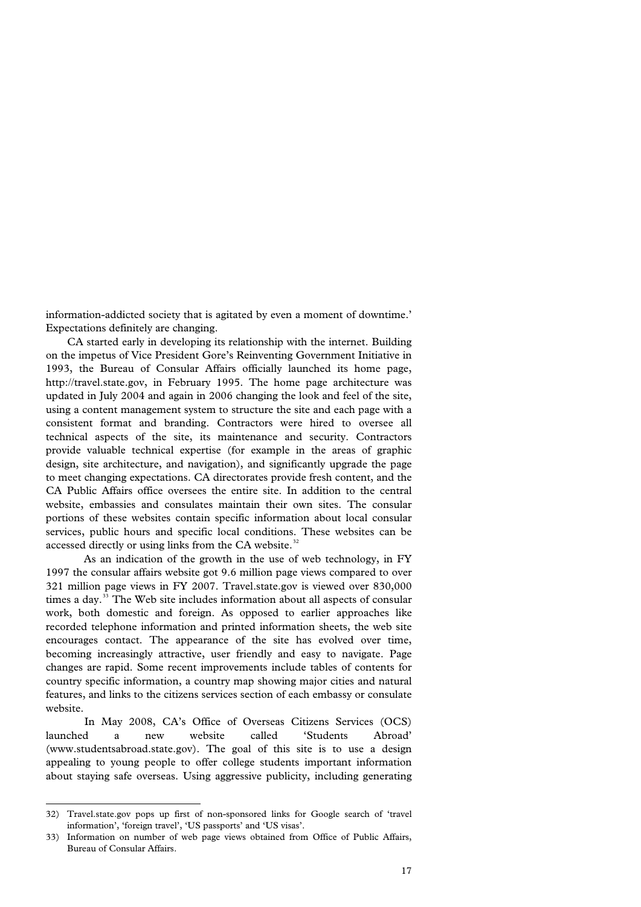information-addicted society that is agitated by even a moment of downtime.' Expectations definitely are changing.

 CA started early in developing its relationship with the internet. Building on the impetus of Vice President Gore's Reinventing Government Initiative in 1993, the Bureau of Consular Affairs officially launched its home page, [http://travel.state.gov](http://travel.state.gov/), in February 1995. The home page architecture was updated in July 2004 and again in 2006 changing the look and feel of the site, using a content management system to structure the site and each page with a consistent format and branding. Contractors were hired to oversee all technical aspects of the site, its maintenance and security. Contractors provide valuable technical expertise (for example in the areas of graphic design, site architecture, and navigation), and significantly upgrade the page to meet changing expectations. CA directorates provide fresh content, and the CA Public Affairs office oversees the entire site. In addition to the central website, embassies and consulates maintain their own sites. The consular portions of these websites contain specific information about local consular services, public hours and specific local conditions. These websites can be accessed directly or using links from the CA website.<sup>[32](#page-19-0)</sup>

As an indication of the growth in the use of web technology, in FY 1997 the consular affairs website got 9.6 million page views compared to over 321 million page views in FY 2007. Travel.state.gov is viewed over 830,000 times a day. $33$  The Web site includes information about all aspects of consular work, both domestic and foreign. As opposed to earlier approaches like recorded telephone information and printed information sheets, the web site encourages contact. The appearance of the site has evolved over time, becoming increasingly attractive, user friendly and easy to navigate. Page changes are rapid. Some recent improvements include tables of contents for country specific information, a country map showing major cities and natural features, and links to the citizens services section of each embassy or consulate website.

In May 2008, CA's Office of Overseas Citizens Services (OCS) launched a new website called 'Students Abroad' (www.studentsabroad.state.gov). The goal of this site is to use a design appealing to young people to offer college students important information about staying safe overseas. Using aggressive publicity, including generating

<span id="page-19-0"></span><sup>32)</sup> Travel.state.gov pops up first of non-sponsored links for Google search of 'travel information', 'foreign travel', 'US passports' and 'US visas'.

<span id="page-19-1"></span><sup>33)</sup> Information on number of web page views obtained from Office of Public Affairs, Bureau of Consular Affairs.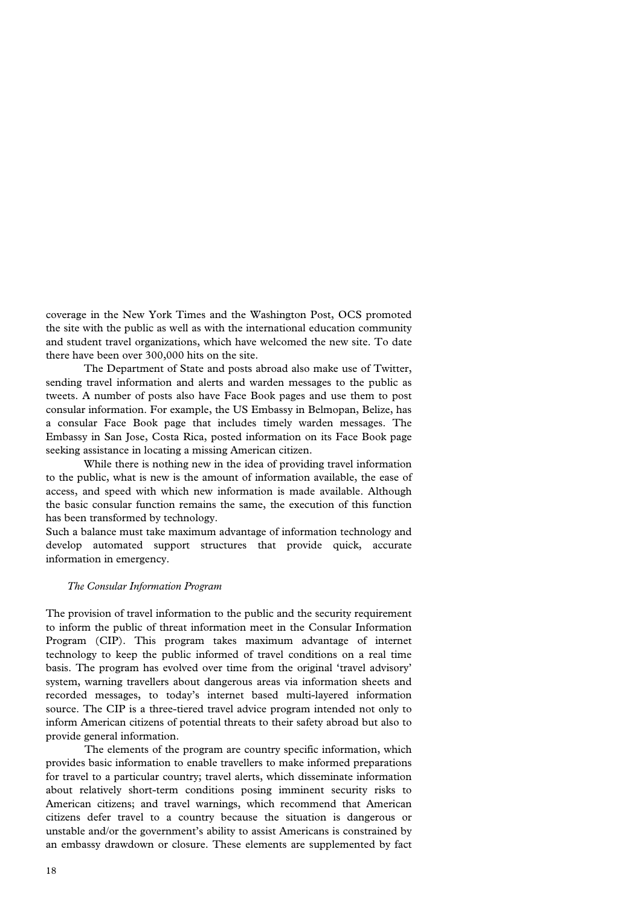coverage in the New York Times and the Washington Post, OCS promoted the site with the public as well as with the international education community and student travel organizations, which have welcomed the new site. To date there have been over 300,000 hits on the site.

The Department of State and posts abroad also make use of Twitter, sending travel information and alerts and warden messages to the public as tweets. A number of posts also have Face Book pages and use them to post consular information. For example, the US Embassy in Belmopan, Belize, has a consular Face Book page that includes timely warden messages. The Embassy in San Jose, Costa Rica, posted information on its Face Book page seeking assistance in locating a missing American citizen.

While there is nothing new in the idea of providing travel information to the public, what is new is the amount of information available, the ease of access, and speed with which new information is made available. Although the basic consular function remains the same, the execution of this function has been transformed by technology.

Such a balance must take maximum advantage of information technology and develop automated support structures that provide quick, accurate information in emergency.

#### *The Consular Information Program*

The provision of travel information to the public and the security requirement to inform the public of threat information meet in the Consular Information Program (CIP). This program takes maximum advantage of internet technology to keep the public informed of travel conditions on a real time basis. The program has evolved over time from the original 'travel advisory' system, warning travellers about dangerous areas via information sheets and recorded messages, to today's internet based multi-layered information source. The CIP is a three-tiered travel advice program intended not only to inform American citizens of potential threats to their safety abroad but also to provide general information.

The elements of the program are country specific information, which provides basic information to enable travellers to make informed preparations for travel to a particular country; travel alerts, which disseminate information about relatively short-term conditions posing imminent security risks to American citizens; and travel warnings, which recommend that American citizens defer travel to a country because the situation is dangerous or unstable and/or the government's ability to assist Americans is constrained by an embassy drawdown or closure. These elements are supplemented by fact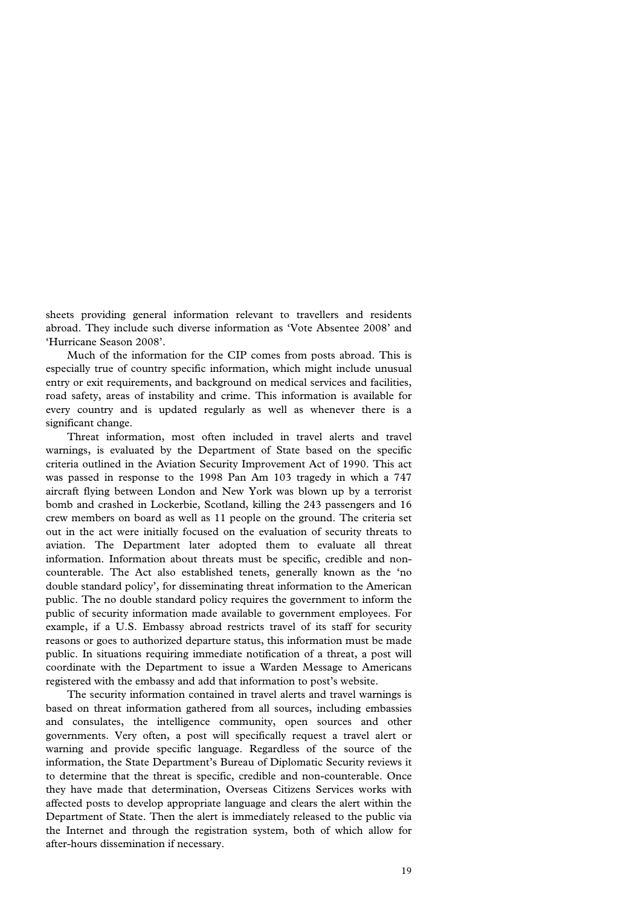sheets providing general information relevant to travellers and residents abroad. They include such diverse information as 'Vote Absentee 2008' and 'Hurricane Season 2008'.

 Much of the information for the CIP comes from posts abroad. This is especially true of country specific information, which might include unusual entry or exit requirements, and background on medical services and facilities, road safety, areas of instability and crime. This information is available for every country and is updated regularly as well as whenever there is a significant change.

 Threat information, most often included in travel alerts and travel warnings, is evaluated by the Department of State based on the specific criteria outlined in the Aviation Security Improvement Act of 1990. This act was passed in response to the 1998 Pan Am 103 tragedy in which a 747 aircraft flying between London and New York was blown up by a terrorist bomb and crashed in Lockerbie, Scotland, killing the 243 passengers and 16 crew members on board as well as 11 people on the ground. The criteria set out in the act were initially focused on the evaluation of security threats to aviation. The Department later adopted them to evaluate all threat information. Information about threats must be specific, credible and noncounterable. The Act also established tenets, generally known as the 'no double standard policy', for disseminating threat information to the American public. The no double standard policy requires the government to inform the public of security information made available to government employees. For example, if a U.S. Embassy abroad restricts travel of its staff for security reasons or goes to authorized departure status, this information must be made public. In situations requiring immediate notification of a threat, a post will coordinate with the Department to issue a Warden Message to Americans registered with the embassy and add that information to post's website.

 The security information contained in travel alerts and travel warnings is based on threat information gathered from all sources, including embassies and consulates, the intelligence community, open sources and other governments. Very often, a post will specifically request a travel alert or warning and provide specific language. Regardless of the source of the information, the State Department's Bureau of Diplomatic Security reviews it to determine that the threat is specific, credible and non-counterable. Once they have made that determination, Overseas Citizens Services works with affected posts to develop appropriate language and clears the alert within the Department of State. Then the alert is immediately released to the public via the Internet and through the registration system, both of which allow for after-hours dissemination if necessary.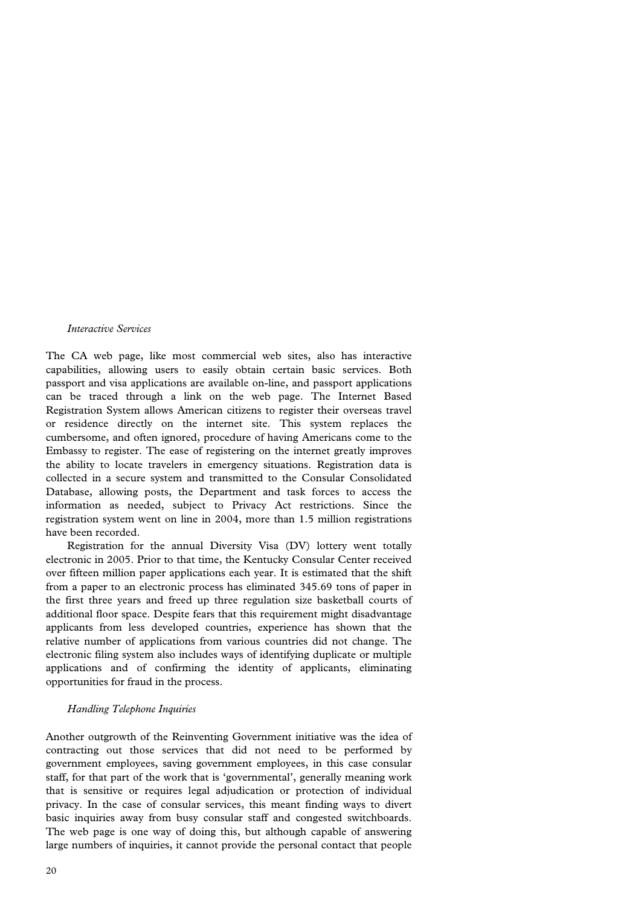#### *Interactive Services*

The CA web page, like most commercial web sites, also has interactive capabilities, allowing users to easily obtain certain basic services. Both passport and visa applications are available on-line, and passport applications can be traced through a link on the web page. The Internet Based Registration System allows American citizens to register their overseas travel or residence directly on the internet site. This system replaces the cumbersome, and often ignored, procedure of having Americans come to the Embassy to register. The ease of registering on the internet greatly improves the ability to locate travelers in emergency situations. Registration data is collected in a secure system and transmitted to the Consular Consolidated Database, allowing posts, the Department and task forces to access the information as needed, subject to Privacy Act restrictions. Since the registration system went on line in 2004, more than 1.5 million registrations have been recorded.

 Registration for the annual Diversity Visa (DV) lottery went totally electronic in 2005. Prior to that time, the Kentucky Consular Center received over fifteen million paper applications each year. It is estimated that the shift from a paper to an electronic process has eliminated 345.69 tons of paper in the first three years and freed up three regulation size basketball courts of additional floor space. Despite fears that this requirement might disadvantage applicants from less developed countries, experience has shown that the relative number of applications from various countries did not change. The electronic filing system also includes ways of identifying duplicate or multiple applications and of confirming the identity of applicants, eliminating opportunities for fraud in the process.

#### *Handling Telephone Inquiries*

Another outgrowth of the Reinventing Government initiative was the idea of contracting out those services that did not need to be performed by government employees, saving government employees, in this case consular staff, for that part of the work that is 'governmental', generally meaning work that is sensitive or requires legal adjudication or protection of individual privacy. In the case of consular services, this meant finding ways to divert basic inquiries away from busy consular staff and congested switchboards. The web page is one way of doing this, but although capable of answering large numbers of inquiries, it cannot provide the personal contact that people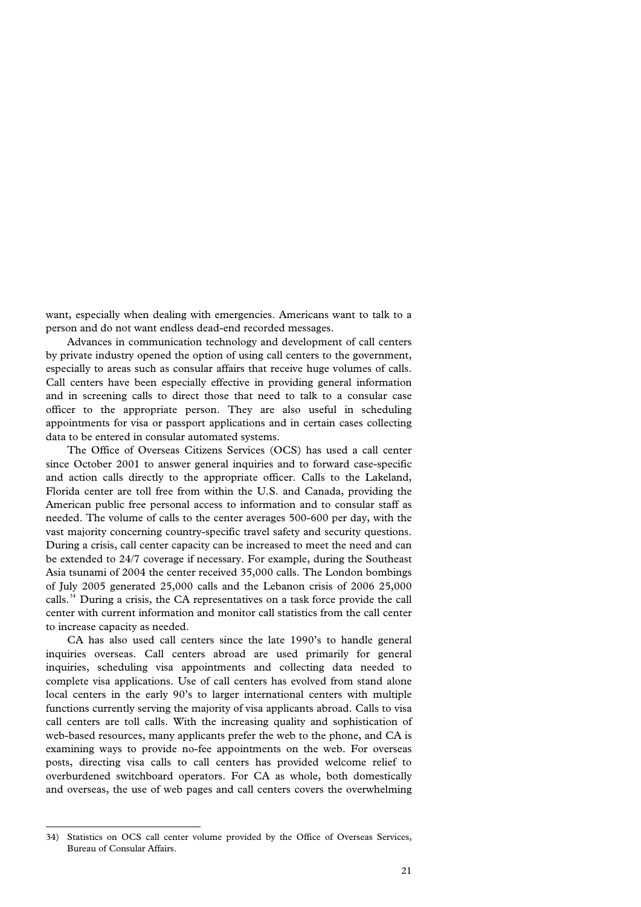want, especially when dealing with emergencies. Americans want to talk to a person and do not want endless dead-end recorded messages.

 Advances in communication technology and development of call centers by private industry opened the option of using call centers to the government, especially to areas such as consular affairs that receive huge volumes of calls. Call centers have been especially effective in providing general information and in screening calls to direct those that need to talk to a consular case officer to the appropriate person. They are also useful in scheduling appointments for visa or passport applications and in certain cases collecting data to be entered in consular automated systems.

 The Office of Overseas Citizens Services (OCS) has used a call center since October 2001 to answer general inquiries and to forward case-specific and action calls directly to the appropriate officer. Calls to the Lakeland, Florida center are toll free from within the U.S. and Canada, providing the American public free personal access to information and to consular staff as needed. The volume of calls to the center averages 500-600 per day, with the vast majority concerning country-specific travel safety and security questions. During a crisis, call center capacity can be increased to meet the need and can be extended to 24/7 coverage if necessary. For example, during the Southeast Asia tsunami of 2004 the center received 35,000 calls. The London bombings of July 2005 generated 25,000 calls and the Lebanon crisis of 2006 25,000 calls.<sup>[34](#page-23-0)</sup> During a crisis, the CA representatives on a task force provide the call center with current information and monitor call statistics from the call center to increase capacity as needed.

 CA has also used call centers since the late 1990's to handle general inquiries overseas. Call centers abroad are used primarily for general inquiries, scheduling visa appointments and collecting data needed to complete visa applications. Use of call centers has evolved from stand alone local centers in the early 90's to larger international centers with multiple functions currently serving the majority of visa applicants abroad. Calls to visa call centers are toll calls. With the increasing quality and sophistication of web-based resources, many applicants prefer the web to the phone, and CA is examining ways to provide no-fee appointments on the web. For overseas posts, directing visa calls to call centers has provided welcome relief to overburdened switchboard operators. For CA as whole, both domestically and overseas, the use of web pages and call centers covers the overwhelming

<span id="page-23-0"></span><sup>34)</sup> Statistics on OCS call center volume provided by the Office of Overseas Services, Bureau of Consular Affairs.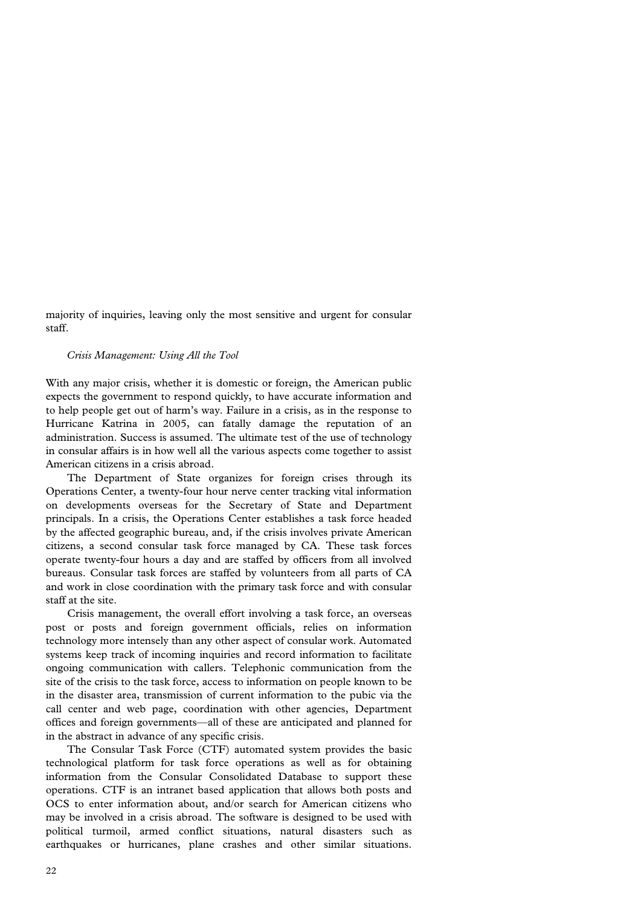majority of inquiries, leaving only the most sensitive and urgent for consular staff.

#### *Crisis Management: Using All the Tool*

With any major crisis, whether it is domestic or foreign, the American public expects the government to respond quickly, to have accurate information and to help people get out of harm's way. Failure in a crisis, as in the response to Hurricane Katrina in 2005, can fatally damage the reputation of an administration. Success is assumed. The ultimate test of the use of technology in consular affairs is in how well all the various aspects come together to assist American citizens in a crisis abroad.

 The Department of State organizes for foreign crises through its Operations Center, a twenty-four hour nerve center tracking vital information on developments overseas for the Secretary of State and Department principals. In a crisis, the Operations Center establishes a task force headed by the affected geographic bureau, and, if the crisis involves private American citizens, a second consular task force managed by CA. These task forces operate twenty-four hours a day and are staffed by officers from all involved bureaus. Consular task forces are staffed by volunteers from all parts of CA and work in close coordination with the primary task force and with consular staff at the site.

 Crisis management, the overall effort involving a task force, an overseas post or posts and foreign government officials, relies on information technology more intensely than any other aspect of consular work. Automated systems keep track of incoming inquiries and record information to facilitate ongoing communication with callers. Telephonic communication from the site of the crisis to the task force, access to information on people known to be in the disaster area, transmission of current information to the pubic via the call center and web page, coordination with other agencies, Department offices and foreign governments—all of these are anticipated and planned for in the abstract in advance of any specific crisis.

 The Consular Task Force (CTF) automated system provides the basic technological platform for task force operations as well as for obtaining information from the Consular Consolidated Database to support these operations. CTF is an intranet based application that allows both posts and OCS to enter information about, and/or search for American citizens who may be involved in a crisis abroad. The software is designed to be used with political turmoil, armed conflict situations, natural disasters such as earthquakes or hurricanes, plane crashes and other similar situations.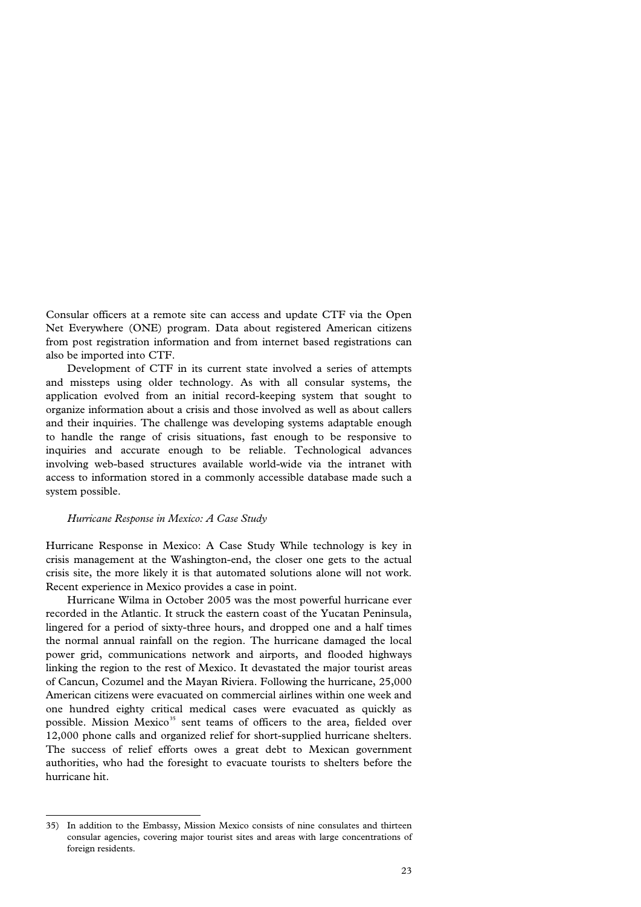Consular officers at a remote site can access and update CTF via the Open Net Everywhere (ONE) program. Data about registered American citizens from post registration information and from internet based registrations can also be imported into CTF.

 Development of CTF in its current state involved a series of attempts and missteps using older technology. As with all consular systems, the application evolved from an initial record-keeping system that sought to organize information about a crisis and those involved as well as about callers and their inquiries. The challenge was developing systems adaptable enough to handle the range of crisis situations, fast enough to be responsive to inquiries and accurate enough to be reliable. Technological advances involving web-based structures available world-wide via the intranet with access to information stored in a commonly accessible database made such a system possible.

#### *Hurricane Response in Mexico: A Case Study*

l

Hurricane Response in Mexico: A Case Study While technology is key in crisis management at the Washington-end, the closer one gets to the actual crisis site, the more likely it is that automated solutions alone will not work. Recent experience in Mexico provides a case in point.

 Hurricane Wilma in October 2005 was the most powerful hurricane ever recorded in the Atlantic. It struck the eastern coast of the Yucatan Peninsula, lingered for a period of sixty-three hours, and dropped one and a half times the normal annual rainfall on the region. The hurricane damaged the local power grid, communications network and airports, and flooded highways linking the region to the rest of Mexico. It devastated the major tourist areas of Cancun, Cozumel and the Mayan Riviera. Following the hurricane, 25,000 American citizens were evacuated on commercial airlines within one week and one hundred eighty critical medical cases were evacuated as quickly as possible. Mission Mexico<sup>[35](#page-25-0)</sup> sent teams of officers to the area, fielded over 12,000 phone calls and organized relief for short-supplied hurricane shelters. The success of relief efforts owes a great debt to Mexican government authorities, who had the foresight to evacuate tourists to shelters before the hurricane hit.

<span id="page-25-0"></span><sup>35)</sup> In addition to the Embassy, Mission Mexico consists of nine consulates and thirteen consular agencies, covering major tourist sites and areas with large concentrations of foreign residents.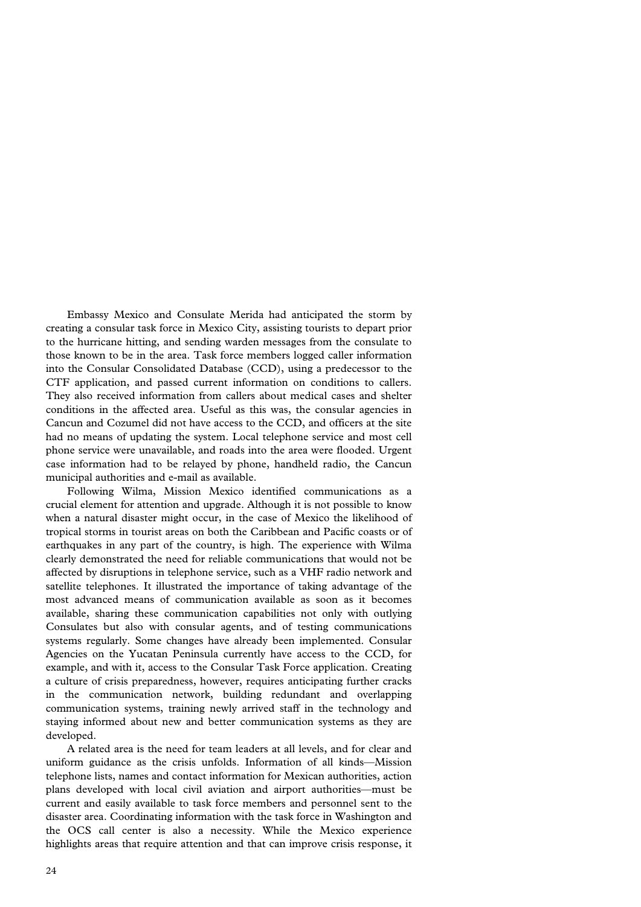Embassy Mexico and Consulate Merida had anticipated the storm by creating a consular task force in Mexico City, assisting tourists to depart prior to the hurricane hitting, and sending warden messages from the consulate to those known to be in the area. Task force members logged caller information into the Consular Consolidated Database (CCD), using a predecessor to the CTF application, and passed current information on conditions to callers. They also received information from callers about medical cases and shelter conditions in the affected area. Useful as this was, the consular agencies in Cancun and Cozumel did not have access to the CCD, and officers at the site had no means of updating the system. Local telephone service and most cell phone service were unavailable, and roads into the area were flooded. Urgent case information had to be relayed by phone, handheld radio, the Cancun municipal authorities and e-mail as available.

 Following Wilma, Mission Mexico identified communications as a crucial element for attention and upgrade. Although it is not possible to know when a natural disaster might occur, in the case of Mexico the likelihood of tropical storms in tourist areas on both the Caribbean and Pacific coasts or of earthquakes in any part of the country, is high. The experience with Wilma clearly demonstrated the need for reliable communications that would not be affected by disruptions in telephone service, such as a VHF radio network and satellite telephones. It illustrated the importance of taking advantage of the most advanced means of communication available as soon as it becomes available, sharing these communication capabilities not only with outlying Consulates but also with consular agents, and of testing communications systems regularly. Some changes have already been implemented. Consular Agencies on the Yucatan Peninsula currently have access to the CCD, for example, and with it, access to the Consular Task Force application. Creating a culture of crisis preparedness, however, requires anticipating further cracks in the communication network, building redundant and overlapping communication systems, training newly arrived staff in the technology and staying informed about new and better communication systems as they are developed.

 A related area is the need for team leaders at all levels, and for clear and uniform guidance as the crisis unfolds. Information of all kinds—Mission telephone lists, names and contact information for Mexican authorities, action plans developed with local civil aviation and airport authorities—must be current and easily available to task force members and personnel sent to the disaster area. Coordinating information with the task force in Washington and the OCS call center is also a necessity. While the Mexico experience highlights areas that require attention and that can improve crisis response, it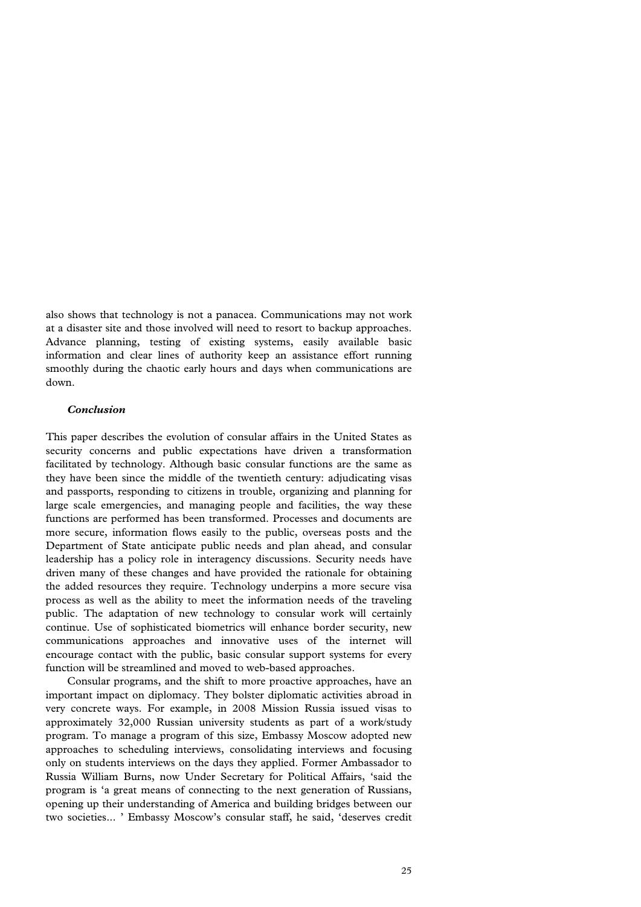also shows that technology is not a panacea. Communications may not work at a disaster site and those involved will need to resort to backup approaches. Advance planning, testing of existing systems, easily available basic information and clear lines of authority keep an assistance effort running smoothly during the chaotic early hours and days when communications are down.

## *Conclusion*

This paper describes the evolution of consular affairs in the United States as security concerns and public expectations have driven a transformation facilitated by technology. Although basic consular functions are the same as they have been since the middle of the twentieth century: adjudicating visas and passports, responding to citizens in trouble, organizing and planning for large scale emergencies, and managing people and facilities, the way these functions are performed has been transformed. Processes and documents are more secure, information flows easily to the public, overseas posts and the Department of State anticipate public needs and plan ahead, and consular leadership has a policy role in interagency discussions. Security needs have driven many of these changes and have provided the rationale for obtaining the added resources they require. Technology underpins a more secure visa process as well as the ability to meet the information needs of the traveling public. The adaptation of new technology to consular work will certainly continue. Use of sophisticated biometrics will enhance border security, new communications approaches and innovative uses of the internet will encourage contact with the public, basic consular support systems for every function will be streamlined and moved to web-based approaches.

 Consular programs, and the shift to more proactive approaches, have an important impact on diplomacy. They bolster diplomatic activities abroad in very concrete ways. For example, in 2008 Mission Russia issued visas to approximately 32,000 Russian university students as part of a work/study program. To manage a program of this size, Embassy Moscow adopted new approaches to scheduling interviews, consolidating interviews and focusing only on students interviews on the days they applied. Former Ambassador to Russia William Burns, now Under Secretary for Political Affairs, 'said the program is 'a great means of connecting to the next generation of Russians, opening up their understanding of America and building bridges between our two societies... ' Embassy Moscow's consular staff, he said, 'deserves credit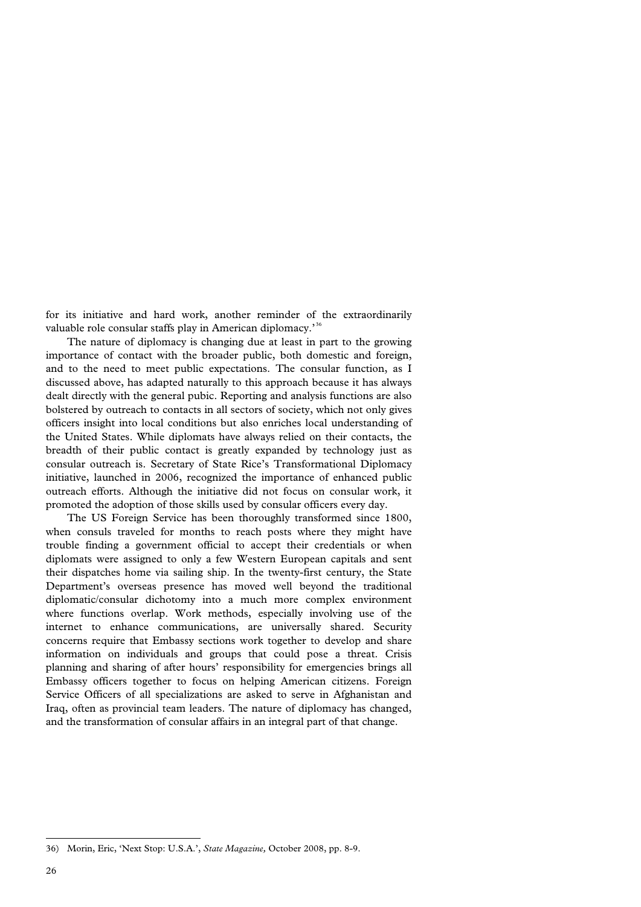for its initiative and hard work, another reminder of the extraordinarily valuable role consular staffs play in American diplomacy.<sup>[36](#page-28-0)</sup>

 The nature of diplomacy is changing due at least in part to the growing importance of contact with the broader public, both domestic and foreign, and to the need to meet public expectations. The consular function, as I discussed above, has adapted naturally to this approach because it has always dealt directly with the general pubic. Reporting and analysis functions are also bolstered by outreach to contacts in all sectors of society, which not only gives officers insight into local conditions but also enriches local understanding of the United States. While diplomats have always relied on their contacts, the breadth of their public contact is greatly expanded by technology just as consular outreach is. Secretary of State Rice's Transformational Diplomacy initiative, launched in 2006, recognized the importance of enhanced public outreach efforts. Although the initiative did not focus on consular work, it promoted the adoption of those skills used by consular officers every day.

 The US Foreign Service has been thoroughly transformed since 1800, when consuls traveled for months to reach posts where they might have trouble finding a government official to accept their credentials or when diplomats were assigned to only a few Western European capitals and sent their dispatches home via sailing ship. In the twenty-first century, the State Department's overseas presence has moved well beyond the traditional diplomatic/consular dichotomy into a much more complex environment where functions overlap. Work methods, especially involving use of the internet to enhance communications, are universally shared. Security concerns require that Embassy sections work together to develop and share information on individuals and groups that could pose a threat. Crisis planning and sharing of after hours' responsibility for emergencies brings all Embassy officers together to focus on helping American citizens. Foreign Service Officers of all specializations are asked to serve in Afghanistan and Iraq, often as provincial team leaders. The nature of diplomacy has changed, and the transformation of consular affairs in an integral part of that change.

<span id="page-28-0"></span><sup>36)</sup> Morin, Eric, 'Next Stop: U.S.A.', *State Magazine,* October 2008, pp. 8-9.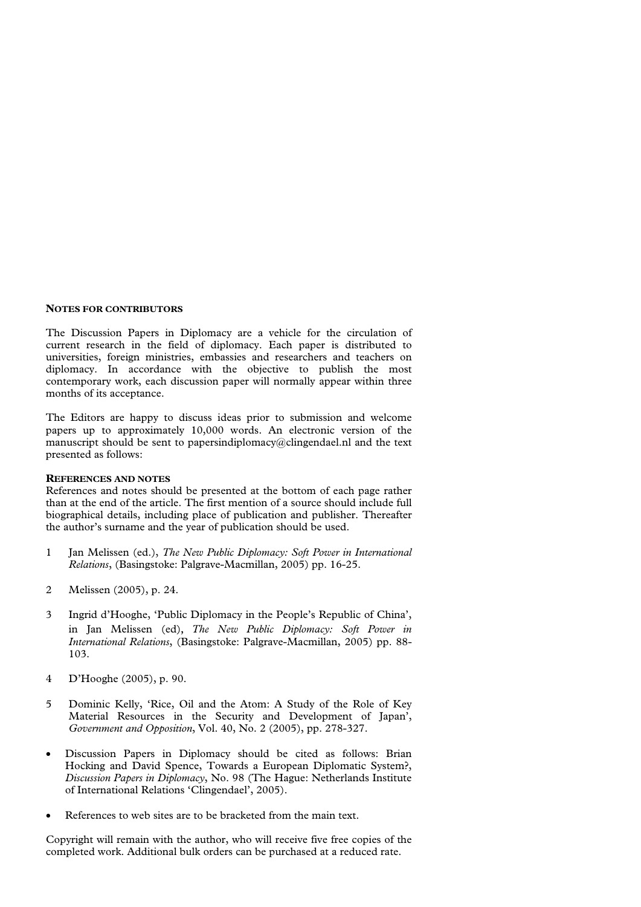#### **NOTES FOR CONTRIBUTORS**

The Discussion Papers in Diplomacy are a vehicle for the circulation of current research in the field of diplomacy. Each paper is distributed to universities, foreign ministries, embassies and researchers and teachers on diplomacy. In accordance with the objective to publish the most contemporary work, each discussion paper will normally appear within three months of its acceptance.

The Editors are happy to discuss ideas prior to submission and welcome papers up to approximately 10,000 words. An electronic version of the manuscript should be sent to papersindiplomacy@clingendael.nl and the text presented as follows:

#### **REFERENCES AND NOTES**

References and notes should be presented at the bottom of each page rather than at the end of the article. The first mention of a source should include full biographical details, including place of publication and publisher. Thereafter the author's surname and the year of publication should be used.

- 1 Jan Melissen (ed.), *The New Public Diplomacy: Soft Power in International Relations*, (Basingstoke: Palgrave-Macmillan, 2005) pp. 16-25.
- 2 Melissen (2005), p. 24.
- 3 Ingrid d'Hooghe, 'Public Diplomacy in the People's Republic of China', in Jan Melissen (ed), *The New Public Diplomacy: Soft Power in International Relations*, (Basingstoke: Palgrave-Macmillan, 2005) pp. 88- 103.
- 4 D'Hooghe (2005), p. 90.
- 5 Dominic Kelly, 'Rice, Oil and the Atom: A Study of the Role of Key Material Resources in the Security and Development of Japan', *Government and Opposition*, Vol. 40, No. 2 (2005), pp. 278-327.
- Discussion Papers in Diplomacy should be cited as follows: Brian Hocking and David Spence, Towards a European Diplomatic System?, *Discussion Papers in Diplomacy*, No. 98 (The Hague: Netherlands Institute of International Relations 'Clingendael', 2005).
- References to web sites are to be bracketed from the main text.

Copyright will remain with the author, who will receive five free copies of the completed work. Additional bulk orders can be purchased at a reduced rate.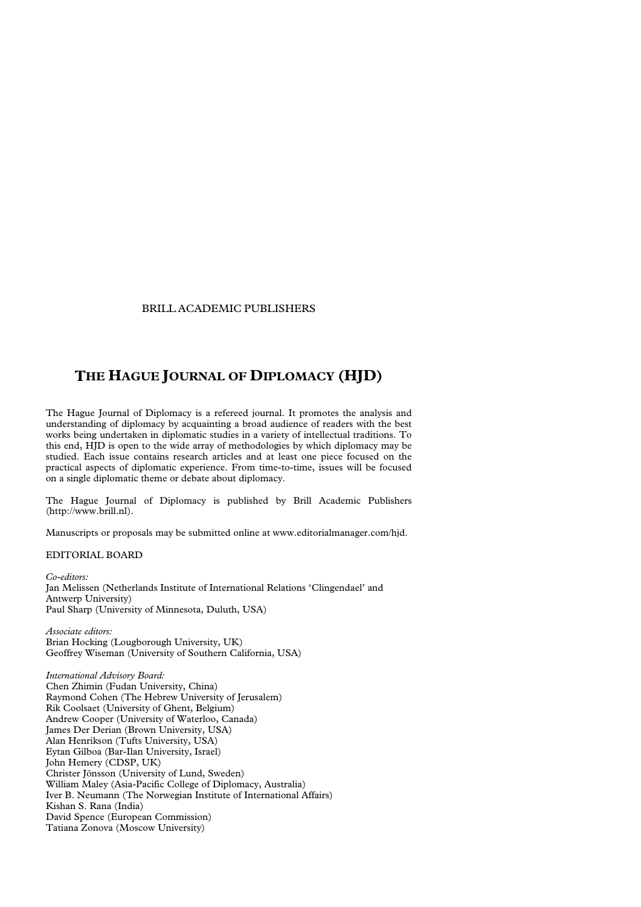#### BRILL ACADEMIC PUBLISHERS

# **THE HAGUE JOURNAL OF DIPLOMACY (HJD)**

The Hague Journal of Diplomacy is a refereed journal. It promotes the analysis and understanding of diplomacy by acquainting a broad audience of readers with the best works being undertaken in diplomatic studies in a variety of intellectual traditions. To this end, HJD is open to the wide array of methodologies by which diplomacy may be studied. Each issue contains research articles and at least one piece focused on the practical aspects of diplomatic experience. From time-to-time, issues will be focused on a single diplomatic theme or debate about diplomacy.

The Hague Journal of Diplomacy is published by Brill Academic Publishers (http://www.brill.nl).

Manuscripts or proposals may be submitted online at www.editorialmanager.com/hjd.

## EDITORIAL BOARD

*Co-editors:*  Jan Melissen (Netherlands Institute of International Relations 'Clingendael' and Antwerp University) Paul Sharp (University of Minnesota, Duluth, USA)

*Associate editors:*  Brian Hocking (Lougborough University, UK) Geoffrey Wiseman (University of Southern California, USA)

*International Advisory Board:* Chen Zhimin (Fudan University, China) Raymond Cohen (The Hebrew University of Jerusalem) Rik Coolsaet (University of Ghent, Belgium) Andrew Cooper (University of Waterloo, Canada) James Der Derian (Brown University, USA) Alan Henrikson (Tufts University, USA) Eytan Gilboa (Bar-Ilan University, Israel) John Hemery (CDSP, UK) Christer Jönsson (University of Lund, Sweden) William Maley (Asia-Pacific College of Diplomacy, Australia) Iver B. Neumann (The Norwegian Institute of International Affairs) Kishan S. Rana (India) David Spence (European Commission) Tatiana Zonova (Moscow University)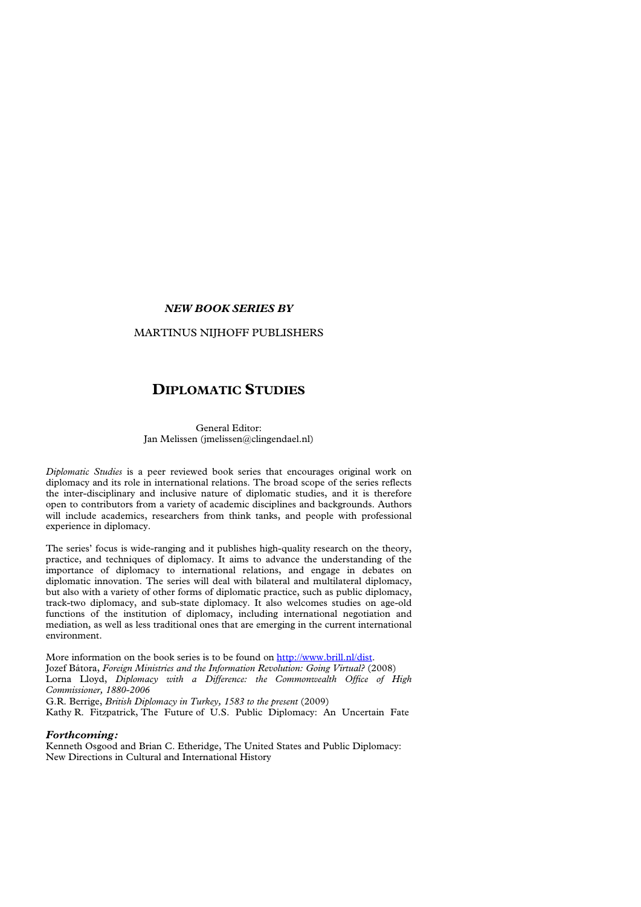#### *NEW BOOK SERIES BY*

#### MARTINUS NIJHOFF PUBLISHERS

## **DIPLOMATIC STUDIES**

#### General Editor: Jan Melissen (jmelissen@clingendael.nl)

*Diplomatic Studies* is a peer reviewed book series that encourages original work on diplomacy and its role in international relations. The broad scope of the series reflects the inter-disciplinary and inclusive nature of diplomatic studies, and it is therefore open to contributors from a variety of academic disciplines and backgrounds. Authors will include academics, researchers from think tanks, and people with professional experience in diplomacy.

The series' focus is wide-ranging and it publishes high-quality research on the theory, practice, and techniques of diplomacy. It aims to advance the understanding of the importance of diplomacy to international relations, and engage in debates on diplomatic innovation. The series will deal with bilateral and multilateral diplomacy, but also with a variety of other forms of diplomatic practice, such as public diplomacy, track-two diplomacy, and sub-state diplomacy. It also welcomes studies on age-old functions of the institution of diplomacy, including international negotiation and mediation, as well as less traditional ones that are emerging in the current international environment.

More information on the book series is to be found on [http://www.brill.nl/dist.](http://www.brill.nl/dist) Jozef Bátora, *Foreign Ministries and the Information Revolution: Going Virtual?* (2008) Lorna Lloyd, *Diplomacy with a Difference: the Commonwealth Office of High Commissioner, 1880-2006* 

G.R. Berrige, *British Diplomacy in Turkey, 1583 to the present* (2009)

Kathy R. Fitzpatrick, The Future of U.S. Public Diplomacy: An Uncertain Fate

## *Forthcoming:*

Kenneth Osgood and Brian C. Etheridge, The United States and Public Diplomacy: New Directions in Cultural and International History